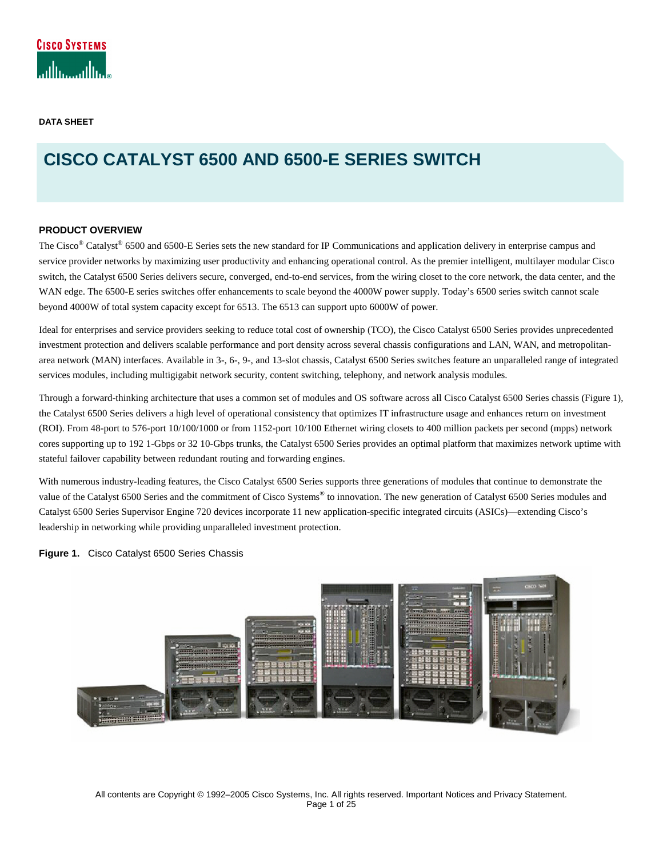**DATA SHEET** 

# **CISCO CATALYST 6500 AND 6500-E SERIES SWITCH**

### **PRODUCT OVERVIEW**

The Cisco<sup>®</sup> Catalyst<sup>®</sup> 6500 and 6500-E Series sets the new standard for IP Communications and application delivery in enterprise campus and service provider networks by maximizing user productivity and enhancing operational control. As the premier intelligent, multilayer modular Cisco switch, the Catalyst 6500 Series delivers secure, converged, end-to-end services, from the wiring closet to the core network, the data center, and the WAN edge. The 6500-E series switches offer enhancements to scale beyond the 4000W power supply. Today's 6500 series switch cannot scale beyond 4000W of total system capacity except for 6513. The 6513 can support upto 6000W of power.

Ideal for enterprises and service providers seeking to reduce total cost of ownership (TCO), the Cisco Catalyst 6500 Series provides unprecedented investment protection and delivers scalable performance and port density across several chassis configurations and LAN, WAN, and metropolitanarea network (MAN) interfaces. Available in 3-, 6-, 9-, and 13-slot chassis, Catalyst 6500 Series switches feature an unparalleled range of integrated services modules, including multigigabit network security, content switching, telephony, and network analysis modules.

Through a forward-thinking architecture that uses a common set of modules and OS software across all Cisco Catalyst 6500 Series chassis (Figure 1), the Catalyst 6500 Series delivers a high level of operational consistency that optimizes IT infrastructure usage and enhances return on investment (ROI). From 48-port to 576-port 10/100/1000 or from 1152-port 10/100 Ethernet wiring closets to 400 million packets per second (mpps) network cores supporting up to 192 1-Gbps or 32 10-Gbps trunks, the Catalyst 6500 Series provides an optimal platform that maximizes network uptime with stateful failover capability between redundant routing and forwarding engines.

With numerous industry-leading features, the Cisco Catalyst 6500 Series supports three generations of modules that continue to demonstrate the value of the Catalyst 6500 Series and the commitment of Cisco Systems® to innovation. The new generation of Catalyst 6500 Series modules and Catalyst 6500 Series Supervisor Engine 720 devices incorporate 11 new application-specific integrated circuits (ASICs)—extending Cisco's leadership in networking while providing unparalleled investment protection.

**Figure 1.** Cisco Catalyst 6500 Series Chassis

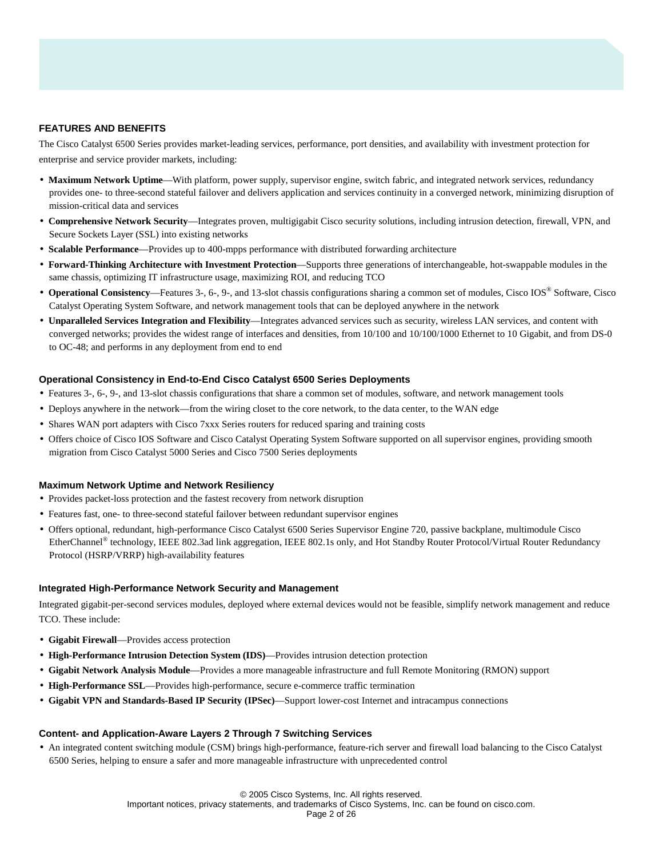### **FEATURES AND BENEFITS**

The Cisco Catalyst 6500 Series provides market-leading services, performance, port densities, and availability with investment protection for enterprise and service provider markets, including:

- **Maximum Network Uptime**—With platform, power supply, supervisor engine, switch fabric, and integrated network services, redundancy provides one- to three-second stateful failover and delivers application and services continuity in a converged network, minimizing disruption of mission-critical data and services
- **Comprehensive Network Security**—Integrates proven, multigigabit Cisco security solutions, including intrusion detection, firewall, VPN, and Secure Sockets Layer (SSL) into existing networks
- **Scalable Performance**—Provides up to 400-mpps performance with distributed forwarding architecture
- **Forward-Thinking Architecture with Investment Protection**—Supports three generations of interchangeable, hot-swappable modules in the same chassis, optimizing IT infrastructure usage, maximizing ROI, and reducing TCO
- **Operational Consistency**—Features 3-, 6-, 9-, and 13-slot chassis configurations sharing a common set of modules, Cisco IOS® Software, Cisco Catalyst Operating System Software, and network management tools that can be deployed anywhere in the network
- **Unparalleled Services Integration and Flexibility**—Integrates advanced services such as security, wireless LAN services, and content with converged networks; provides the widest range of interfaces and densities, from 10/100 and 10/100/1000 Ethernet to 10 Gigabit, and from DS-0 to OC-48; and performs in any deployment from end to end

### **Operational Consistency in End-to-End Cisco Catalyst 6500 Series Deployments**

- Features 3-, 6-, 9-, and 13-slot chassis configurations that share a common set of modules, software, and network management tools
- Deploys anywhere in the network—from the wiring closet to the core network, to the data center, to the WAN edge
- Shares WAN port adapters with Cisco 7xxx Series routers for reduced sparing and training costs
- Offers choice of Cisco IOS Software and Cisco Catalyst Operating System Software supported on all supervisor engines, providing smooth migration from Cisco Catalyst 5000 Series and Cisco 7500 Series deployments

#### **Maximum Network Uptime and Network Resiliency**

- Provides packet-loss protection and the fastest recovery from network disruption
- Features fast, one- to three-second stateful failover between redundant supervisor engines
- Offers optional, redundant, high-performance Cisco Catalyst 6500 Series Supervisor Engine 720, passive backplane, multimodule Cisco EtherChannel® technology, IEEE 802.3ad link aggregation, IEEE 802.1s only, and Hot Standby Router Protocol/Virtual Router Redundancy Protocol (HSRP/VRRP) high-availability features

#### **Integrated High-Performance Network Security and Management**

Integrated gigabit-per-second services modules, deployed where external devices would not be feasible, simplify network management and reduce TCO. These include:

- **Gigabit Firewall**—Provides access protection
- **High-Performance Intrusion Detection System (IDS)**—Provides intrusion detection protection
- **Gigabit Network Analysis Module**—Provides a more manageable infrastructure and full Remote Monitoring (RMON) support
- **High-Performance SSL**—Provides high-performance, secure e-commerce traffic termination
- **Gigabit VPN and Standards-Based IP Security (IPSec)**—Support lower-cost Internet and intracampus connections

#### **Content- and Application-Aware Layers 2 Through 7 Switching Services**

• An integrated content switching module (CSM) brings high-performance, feature-rich server and firewall load balancing to the Cisco Catalyst 6500 Series, helping to ensure a safer and more manageable infrastructure with unprecedented control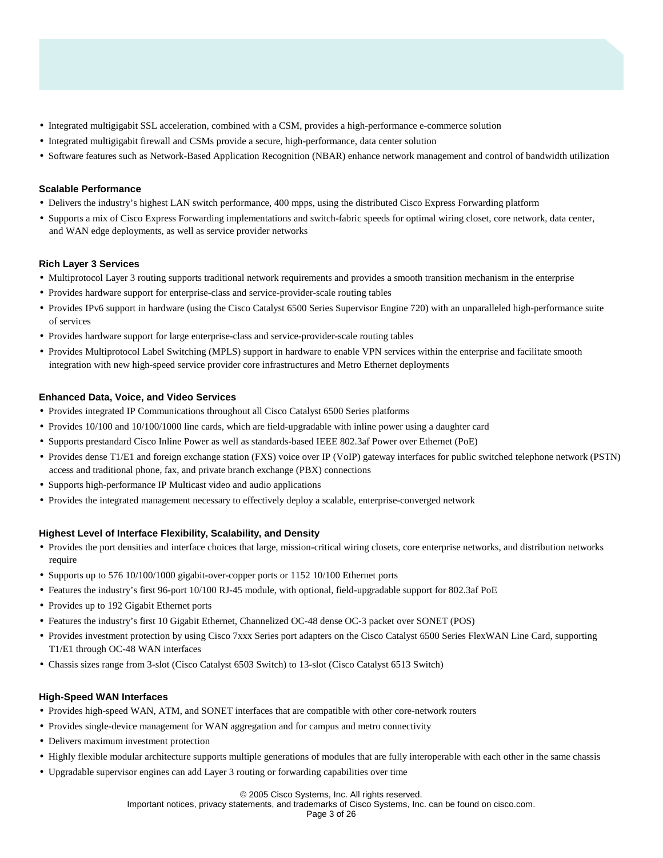- Integrated multigigabit SSL acceleration, combined with a CSM, provides a high-performance e-commerce solution
- Integrated multigigabit firewall and CSMs provide a secure, high-performance, data center solution
- Software features such as Network-Based Application Recognition (NBAR) enhance network management and control of bandwidth utilization

### **Scalable Performance**

- Delivers the industry's highest LAN switch performance, 400 mpps, using the distributed Cisco Express Forwarding platform
- Supports a mix of Cisco Express Forwarding implementations and switch-fabric speeds for optimal wiring closet, core network, data center, and WAN edge deployments, as well as service provider networks

### **Rich Layer 3 Services**

- Multiprotocol Layer 3 routing supports traditional network requirements and provides a smooth transition mechanism in the enterprise
- Provides hardware support for enterprise-class and service-provider-scale routing tables
- Provides IPv6 support in hardware (using the Cisco Catalyst 6500 Series Supervisor Engine 720) with an unparalleled high-performance suite of services
- Provides hardware support for large enterprise-class and service-provider-scale routing tables
- Provides Multiprotocol Label Switching (MPLS) support in hardware to enable VPN services within the enterprise and facilitate smooth integration with new high-speed service provider core infrastructures and Metro Ethernet deployments

### **Enhanced Data, Voice, and Video Services**

- Provides integrated IP Communications throughout all Cisco Catalyst 6500 Series platforms
- Provides 10/100 and 10/100/1000 line cards, which are field-upgradable with inline power using a daughter card
- Supports prestandard Cisco Inline Power as well as standards-based IEEE 802.3af Power over Ethernet (PoE)
- Provides dense T1/E1 and foreign exchange station (FXS) voice over IP (VoIP) gateway interfaces for public switched telephone network (PSTN) access and traditional phone, fax, and private branch exchange (PBX) connections
- Supports high-performance IP Multicast video and audio applications
- Provides the integrated management necessary to effectively deploy a scalable, enterprise-converged network

### **Highest Level of Interface Flexibility, Scalability, and Density**

- Provides the port densities and interface choices that large, mission-critical wiring closets, core enterprise networks, and distribution networks require
- Supports up to 576 10/100/1000 gigabit-over-copper ports or 1152 10/100 Ethernet ports
- Features the industry's first 96-port 10/100 RJ-45 module, with optional, field-upgradable support for 802.3af PoE
- Provides up to 192 Gigabit Ethernet ports
- Features the industry's first 10 Gigabit Ethernet, Channelized OC-48 dense OC-3 packet over SONET (POS)
- Provides investment protection by using Cisco 7xxx Series port adapters on the Cisco Catalyst 6500 Series FlexWAN Line Card, supporting T1/E1 through OC-48 WAN interfaces
- Chassis sizes range from 3-slot (Cisco Catalyst 6503 Switch) to 13-slot (Cisco Catalyst 6513 Switch)

### **High-Speed WAN Interfaces**

- Provides high-speed WAN, ATM, and SONET interfaces that are compatible with other core-network routers
- Provides single-device management for WAN aggregation and for campus and metro connectivity
- Delivers maximum investment protection
- Highly flexible modular architecture supports multiple generations of modules that are fully interoperable with each other in the same chassis
- Upgradable supervisor engines can add Layer 3 routing or forwarding capabilities over time

#### © 2005 Cisco Systems, Inc. All rights reserved.

Important notices, privacy statements, and trademarks of Cisco Systems, Inc. can be found on cisco.com.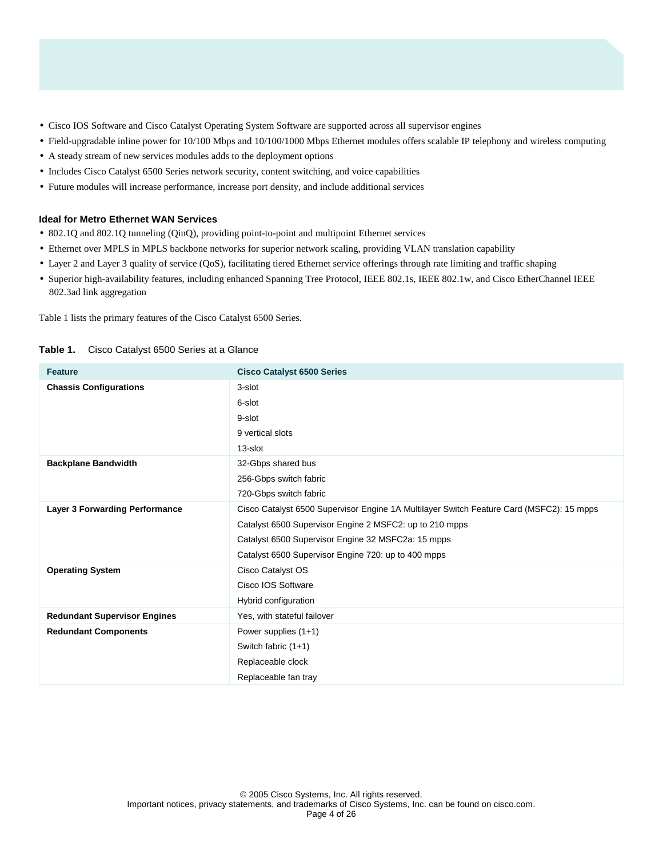- Cisco IOS Software and Cisco Catalyst Operating System Software are supported across all supervisor engines
- Field-upgradable inline power for 10/100 Mbps and 10/100/1000 Mbps Ethernet modules offers scalable IP telephony and wireless computing
- A steady stream of new services modules adds to the deployment options
- Includes Cisco Catalyst 6500 Series network security, content switching, and voice capabilities
- Future modules will increase performance, increase port density, and include additional services

### **Ideal for Metro Ethernet WAN Services**

- 802.1Q and 802.1Q tunneling (QinQ), providing point-to-point and multipoint Ethernet services
- Ethernet over MPLS in MPLS backbone networks for superior network scaling, providing VLAN translation capability
- Layer 2 and Layer 3 quality of service (QoS), facilitating tiered Ethernet service offerings through rate limiting and traffic shaping
- Superior high-availability features, including enhanced Spanning Tree Protocol, IEEE 802.1s, IEEE 802.1w, and Cisco EtherChannel IEEE 802.3ad link aggregation

Table 1 lists the primary features of the Cisco Catalyst 6500 Series.

| <b>Feature</b>                        | <b>Cisco Catalyst 6500 Series</b>                                                        |
|---------------------------------------|------------------------------------------------------------------------------------------|
| <b>Chassis Configurations</b>         | 3-slot                                                                                   |
|                                       | 6-slot                                                                                   |
|                                       | 9-slot                                                                                   |
|                                       | 9 vertical slots                                                                         |
|                                       | 13-slot                                                                                  |
| <b>Backplane Bandwidth</b>            | 32-Gbps shared bus                                                                       |
|                                       | 256-Gbps switch fabric                                                                   |
|                                       | 720-Gbps switch fabric                                                                   |
| <b>Layer 3 Forwarding Performance</b> | Cisco Catalyst 6500 Supervisor Engine 1A Multilayer Switch Feature Card (MSFC2): 15 mpps |
|                                       | Catalyst 6500 Supervisor Engine 2 MSFC2: up to 210 mpps                                  |
|                                       | Catalyst 6500 Supervisor Engine 32 MSFC2a: 15 mpps                                       |
|                                       | Catalyst 6500 Supervisor Engine 720: up to 400 mpps                                      |
| <b>Operating System</b>               | Cisco Catalyst OS                                                                        |
|                                       | Cisco IOS Software                                                                       |
|                                       | Hybrid configuration                                                                     |
| <b>Redundant Supervisor Engines</b>   | Yes, with stateful failover                                                              |
| <b>Redundant Components</b>           | Power supplies (1+1)                                                                     |
|                                       | Switch fabric (1+1)                                                                      |
|                                       | Replaceable clock                                                                        |
|                                       | Replaceable fan tray                                                                     |

### **Table 1.** Cisco Catalyst 6500 Series at a Glance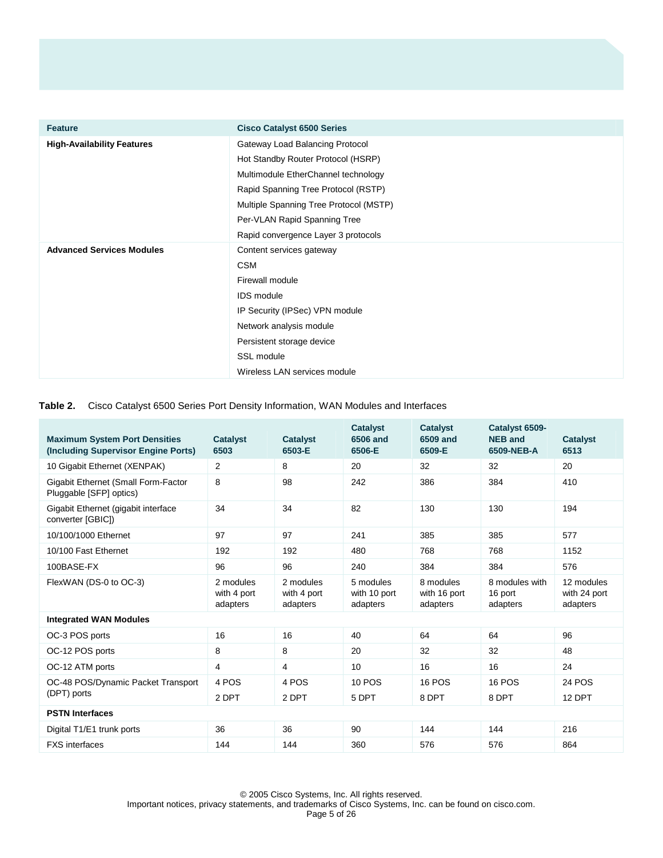| <b>Feature</b>                    | <b>Cisco Catalyst 6500 Series</b>      |  |  |  |  |
|-----------------------------------|----------------------------------------|--|--|--|--|
| <b>High-Availability Features</b> | Gateway Load Balancing Protocol        |  |  |  |  |
|                                   | Hot Standby Router Protocol (HSRP)     |  |  |  |  |
|                                   | Multimodule EtherChannel technology    |  |  |  |  |
|                                   | Rapid Spanning Tree Protocol (RSTP)    |  |  |  |  |
|                                   | Multiple Spanning Tree Protocol (MSTP) |  |  |  |  |
|                                   | Per-VLAN Rapid Spanning Tree           |  |  |  |  |
|                                   | Rapid convergence Layer 3 protocols    |  |  |  |  |
| <b>Advanced Services Modules</b>  | Content services gateway               |  |  |  |  |
|                                   | <b>CSM</b>                             |  |  |  |  |
|                                   | Firewall module                        |  |  |  |  |
|                                   | <b>IDS</b> module                      |  |  |  |  |
|                                   | IP Security (IPSec) VPN module         |  |  |  |  |
|                                   | Network analysis module                |  |  |  |  |
|                                   | Persistent storage device              |  |  |  |  |
|                                   | SSL module                             |  |  |  |  |
|                                   | Wireless LAN services module           |  |  |  |  |

## **Table 2.** Cisco Catalyst 6500 Series Port Density Information, WAN Modules and Interfaces

| <b>Maximum System Port Densities</b><br>(Including Supervisor Engine Ports) | <b>Catalyst</b><br>6503              | <b>Catalyst</b><br>6503-E            | <b>Catalyst</b><br>6506 and<br>6506-E | <b>Catalyst</b><br>6509 and<br>6509-E | Catalyst 6509-<br><b>NEB and</b><br>6509-NEB-A | <b>Catalyst</b><br>6513                |
|-----------------------------------------------------------------------------|--------------------------------------|--------------------------------------|---------------------------------------|---------------------------------------|------------------------------------------------|----------------------------------------|
| 10 Gigabit Ethernet (XENPAK)                                                | 2                                    | 8                                    | 20                                    | 32                                    | 32                                             | 20                                     |
| Gigabit Ethernet (Small Form-Factor<br>Pluggable [SFP] optics)              | 8                                    | 98                                   | 242                                   | 386                                   | 384                                            | 410                                    |
| Gigabit Ethernet (gigabit interface<br>converter [GBIC])                    | 34                                   | 34                                   | 82                                    | 130                                   | 130                                            | 194                                    |
| 10/100/1000 Ethernet                                                        | 97                                   | 97                                   | 241                                   | 385                                   | 385                                            | 577                                    |
| 10/100 Fast Ethernet                                                        | 192                                  | 192                                  | 480                                   | 768                                   | 768                                            | 1152                                   |
| 100BASE-FX                                                                  | 96                                   | 96                                   | 240                                   | 384                                   | 384                                            | 576                                    |
| FlexWAN (DS-0 to OC-3)                                                      | 2 modules<br>with 4 port<br>adapters | 2 modules<br>with 4 port<br>adapters | 5 modules<br>with 10 port<br>adapters | 8 modules<br>with 16 port<br>adapters | 8 modules with<br>16 port<br>adapters          | 12 modules<br>with 24 port<br>adapters |
| <b>Integrated WAN Modules</b>                                               |                                      |                                      |                                       |                                       |                                                |                                        |
| OC-3 POS ports                                                              | 16                                   | 16                                   | 40                                    | 64                                    | 64                                             | 96                                     |
| OC-12 POS ports                                                             | 8                                    | 8                                    | 20                                    | 32                                    | 32                                             | 48                                     |
| OC-12 ATM ports                                                             | 4                                    | 4                                    | 10                                    | 16                                    | 16                                             | 24                                     |
| OC-48 POS/Dynamic Packet Transport<br>(DPT) ports                           | 4 POS<br>2 DPT                       | 4 POS<br>2 DPT                       | <b>10 POS</b><br>5 DPT                | <b>16 POS</b><br>8 DPT                | <b>16 POS</b><br>8 DPT                         | <b>24 POS</b><br>12 DPT                |
| <b>PSTN Interfaces</b>                                                      |                                      |                                      |                                       |                                       |                                                |                                        |
| Digital T1/E1 trunk ports                                                   | 36                                   | 36                                   | 90                                    | 144                                   | 144                                            | 216                                    |
| <b>FXS</b> interfaces                                                       | 144                                  | 144                                  | 360                                   | 576                                   | 576                                            | 864                                    |

© 2005 Cisco Systems, Inc. All rights reserved. Important notices, privacy statements, and trademarks of Cisco Systems, Inc. can be found on cisco.com. Page 5 of 26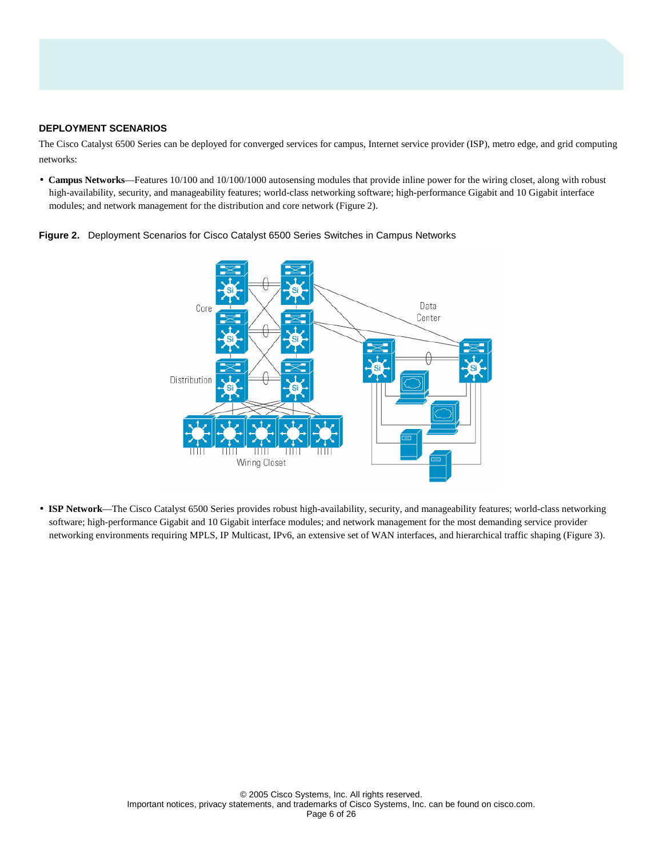### **DEPLOYMENT SCENARIOS**

The Cisco Catalyst 6500 Series can be deployed for converged services for campus, Internet service provider (ISP), metro edge, and grid computing networks:

• **Campus Networks—Features** 10/100 and 10/100/1000 autosensing modules that provide inline power for the wiring closet, along with robust high-availability, security, and manageability features; world-class networking software; high-performance Gigabit and 10 Gigabit interface modules; and network management for the distribution and core network (Figure 2).



**Figure 2.** Deployment Scenarios for Cisco Catalyst 6500 Series Switches in Campus Networks

• **ISP Network**—The Cisco Catalyst 6500 Series provides robust high-availability, security, and manageability features; world-class networking software; high-performance Gigabit and 10 Gigabit interface modules; and network management for the most demanding service provider networking environments requiring MPLS, IP Multicast, IPv6, an extensive set of WAN interfaces, and hierarchical traffic shaping (Figure 3).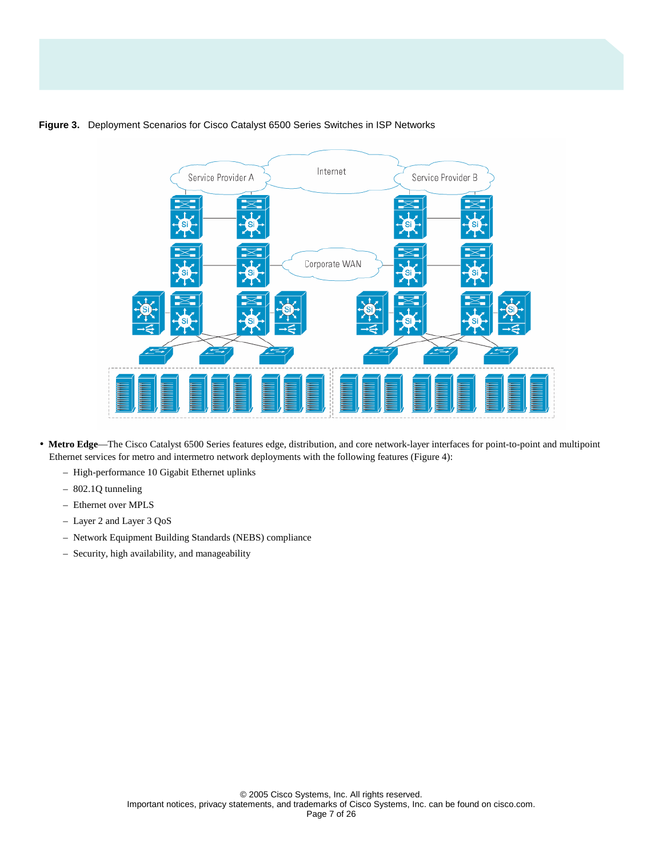# **Figure 3.** Deployment Scenarios for Cisco Catalyst 6500 Series Switches in ISP Networks



- **Metro Edge**—The Cisco Catalyst 6500 Series features edge, distribution, and core network-layer interfaces for point-to-point and multipoint Ethernet services for metro and intermetro network deployments with the following features (Figure 4):
	- High-performance 10 Gigabit Ethernet uplinks
	- 802.1Q tunneling
	- Ethernet over MPLS
	- Layer 2 and Layer 3 QoS
	- Network Equipment Building Standards (NEBS) compliance
	- Security, high availability, and manageability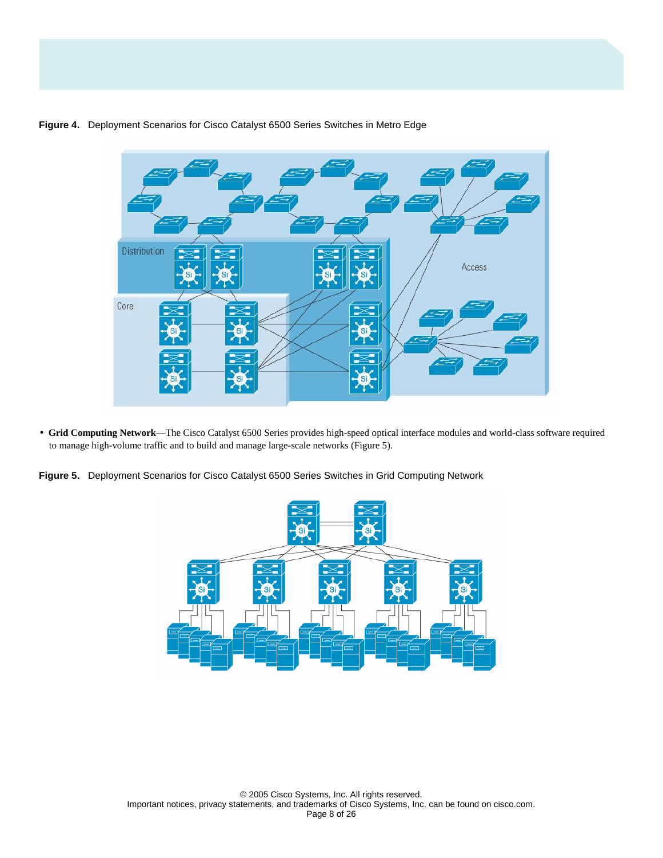

### **Figure 4.** Deployment Scenarios for Cisco Catalyst 6500 Series Switches in Metro Edge

• **Grid Computing Network**—The Cisco Catalyst 6500 Series provides high-speed optical interface modules and world-class software required to manage high-volume traffic and to build and manage large-scale networks (Figure 5).

**Figure 5.** Deployment Scenarios for Cisco Catalyst 6500 Series Switches in Grid Computing Network

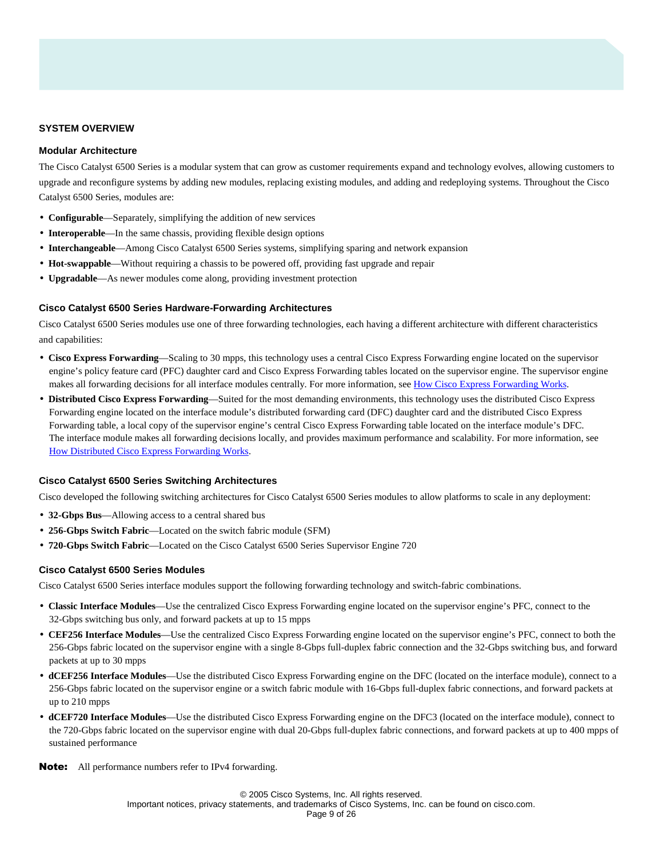### **SYSTEM OVERVIEW**

### **Modular Architecture**

The Cisco Catalyst 6500 Series is a modular system that can grow as customer requirements expand and technology evolves, allowing customers to upgrade and reconfigure systems by adding new modules, replacing existing modules, and adding and redeploying systems. Throughout the Cisco Catalyst 6500 Series, modules are:

- **Configurable**—Separately, simplifying the addition of new services
- **Interoperable**—In the same chassis, providing flexible design options
- **Interchangeable**—Among Cisco Catalyst 6500 Series systems, simplifying sparing and network expansion
- **Hot-swappable**—Without requiring a chassis to be powered off, providing fast upgrade and repair
- **Upgradable**—As newer modules come along, providing investment protection

#### **Cisco Catalyst 6500 Series Hardware-Forwarding Architectures**

Cisco Catalyst 6500 Series modules use one of three forwarding technologies, each having a different architecture with different characteristics and capabilities:

- **Cisco Express Forwarding**—Scaling to 30 mpps, this technology uses a central Cisco Express Forwarding engine located on the supervisor engine's policy feature card (PFC) daughter card and Cisco Express Forwarding tables located on the supervisor engine. The supervisor engine makes all forwarding decisions for all interface modules centrally. For more information, see [How Cisco Express Forwarding Works](http://www.cisco.com/en/US/products/hw/switches/ps708/products_data_sheet09186a00800ff916.html).
- **Distributed Cisco Express Forwarding**—Suited for the most demanding environments, this technology uses the distributed Cisco Express Forwarding engine located on the interface module's distributed forwarding card (DFC) daughter card and the distributed Cisco Express Forwarding table, a local copy of the supervisor engine's central Cisco Express Forwarding table located on the interface module's DFC. The interface module makes all forwarding decisions locally, and provides maximum performance and scalability. For more information, see [How Distributed Cisco Express Forwarding Works](http://www.cisco.com/en/US/products/hw/switches/ps708/products_data_sheet09186a00800ff916.html).

### **Cisco Catalyst 6500 Series Switching Architectures**

Cisco developed the following switching architectures for Cisco Catalyst 6500 Series modules to allow platforms to scale in any deployment:

- **32-Gbps Bus**—Allowing access to a central shared bus
- **256-Gbps Switch Fabric**—Located on the switch fabric module (SFM)
- **720-Gbps Switch Fabric**—Located on the Cisco Catalyst 6500 Series Supervisor Engine 720

#### **Cisco Catalyst 6500 Series Modules**

Cisco Catalyst 6500 Series interface modules support the following forwarding technology and switch-fabric combinations.

- **Classic Interface Modules**—Use the centralized Cisco Express Forwarding engine located on the supervisor engine's PFC, connect to the 32-Gbps switching bus only, and forward packets at up to 15 mpps
- **CEF256 Interface Modules**—Use the centralized Cisco Express Forwarding engine located on the supervisor engine's PFC, connect to both the 256-Gbps fabric located on the supervisor engine with a single 8-Gbps full-duplex fabric connection and the 32-Gbps switching bus, and forward packets at up to 30 mpps
- **dCEF256 Interface Modules**—Use the distributed Cisco Express Forwarding engine on the DFC (located on the interface module), connect to a 256-Gbps fabric located on the supervisor engine or a switch fabric module with 16-Gbps full-duplex fabric connections, and forward packets at up to 210 mpps
- **dCEF720 Interface Modules**—Use the distributed Cisco Express Forwarding engine on the DFC3 (located on the interface module), connect to the 720-Gbps fabric located on the supervisor engine with dual 20-Gbps full-duplex fabric connections, and forward packets at up to 400 mpps of sustained performance

Note: All performance numbers refer to IPv4 forwarding.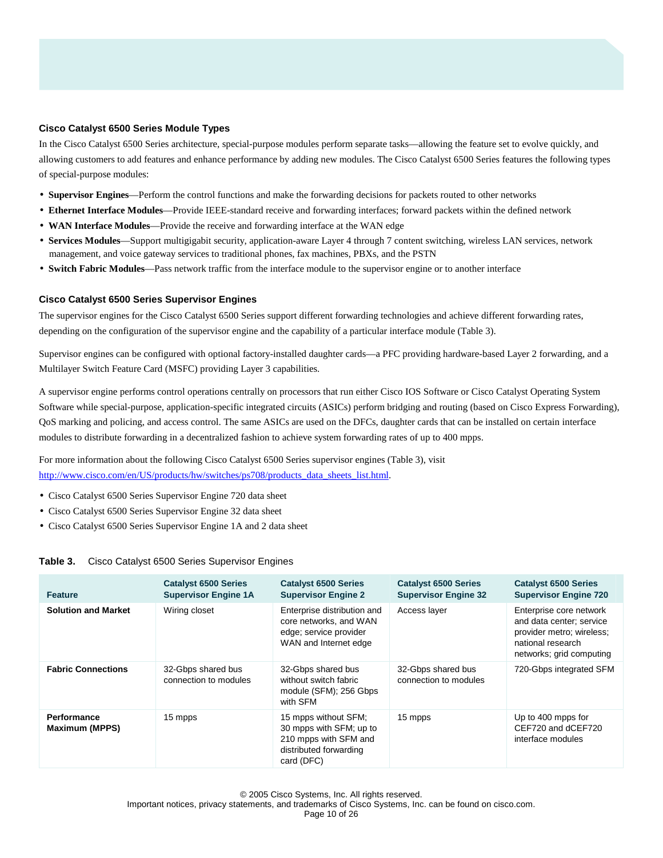### **Cisco Catalyst 6500 Series Module Types**

In the Cisco Catalyst 6500 Series architecture, special-purpose modules perform separate tasks—allowing the feature set to evolve quickly, and allowing customers to add features and enhance performance by adding new modules. The Cisco Catalyst 6500 Series features the following types of special-purpose modules:

- **Supervisor Engines**—Perform the control functions and make the forwarding decisions for packets routed to other networks
- **Ethernet Interface Modules**—Provide IEEE-standard receive and forwarding interfaces; forward packets within the defined network
- **WAN Interface Modules**—Provide the receive and forwarding interface at the WAN edge
- **Services Modules**—Support multigigabit security, application-aware Layer 4 through 7 content switching, wireless LAN services, network management, and voice gateway services to traditional phones, fax machines, PBXs, and the PSTN
- **Switch Fabric Modules**—Pass network traffic from the interface module to the supervisor engine or to another interface

#### **Cisco Catalyst 6500 Series Supervisor Engines**

The supervisor engines for the Cisco Catalyst 6500 Series support different forwarding technologies and achieve different forwarding rates, depending on the configuration of the supervisor engine and the capability of a particular interface module (Table 3).

Supervisor engines can be configured with optional factory-installed daughter cards—a PFC providing hardware-based Layer 2 forwarding, and a Multilayer Switch Feature Card (MSFC) providing Layer 3 capabilities.

A supervisor engine performs control operations centrally on processors that run either Cisco IOS Software or Cisco Catalyst Operating System Software while special-purpose, application-specific integrated circuits (ASICs) perform bridging and routing (based on Cisco Express Forwarding), QoS marking and policing, and access control. The same ASICs are used on the DFCs, daughter cards that can be installed on certain interface modules to distribute forwarding in a decentralized fashion to achieve system forwarding rates of up to 400 mpps.

For more information about the following Cisco Catalyst 6500 Series supervisor engines (Table 3), visit [http://www.cisco.com/en/US/products/hw/switches/ps708/products\\_data\\_sheets\\_list.html](http://www.cisco.com/en/US/products/hw/switches/ps708/products_data_sheets_list.html).

- Cisco Catalyst 6500 Series Supervisor Engine 720 data sheet
- Cisco Catalyst 6500 Series Supervisor Engine 32 data sheet
- Cisco Catalyst 6500 Series Supervisor Engine 1A and 2 data sheet

#### **Table 3.** Cisco Catalyst 6500 Series Supervisor Engines

| <b>Feature</b>                              | <b>Catalyst 6500 Series</b><br><b>Supervisor Engine 1A</b> | <b>Catalyst 6500 Series</b><br><b>Supervisor Engine 2</b>                                                        | <b>Catalyst 6500 Series</b><br><b>Supervisor Engine 32</b> | <b>Catalyst 6500 Series</b><br><b>Supervisor Engine 720</b>                                                                       |
|---------------------------------------------|------------------------------------------------------------|------------------------------------------------------------------------------------------------------------------|------------------------------------------------------------|-----------------------------------------------------------------------------------------------------------------------------------|
| <b>Solution and Market</b>                  | Wiring closet                                              | Enterprise distribution and<br>core networks, and WAN<br>edge; service provider<br>WAN and Internet edge         | Access layer                                               | Enterprise core network<br>and data center; service<br>provider metro; wireless;<br>national research<br>networks; grid computing |
| <b>Fabric Connections</b>                   | 32-Gbps shared bus<br>connection to modules                | 32-Gbps shared bus<br>without switch fabric<br>module (SFM); 256 Gbps<br>with SFM                                | 32-Gbps shared bus<br>connection to modules                | 720-Gbps integrated SFM                                                                                                           |
| <b>Performance</b><br><b>Maximum (MPPS)</b> | 15 mpps                                                    | 15 mpps without SFM;<br>30 mpps with SFM; up to<br>210 mpps with SFM and<br>distributed forwarding<br>card (DFC) | 15 mpps                                                    | Up to 400 mpps for<br>CEF720 and dCEF720<br>interface modules                                                                     |

© 2005 Cisco Systems, Inc. All rights reserved. Important notices, privacy statements, and trademarks of Cisco Systems, Inc. can be found on cisco.com. Page 10 of 26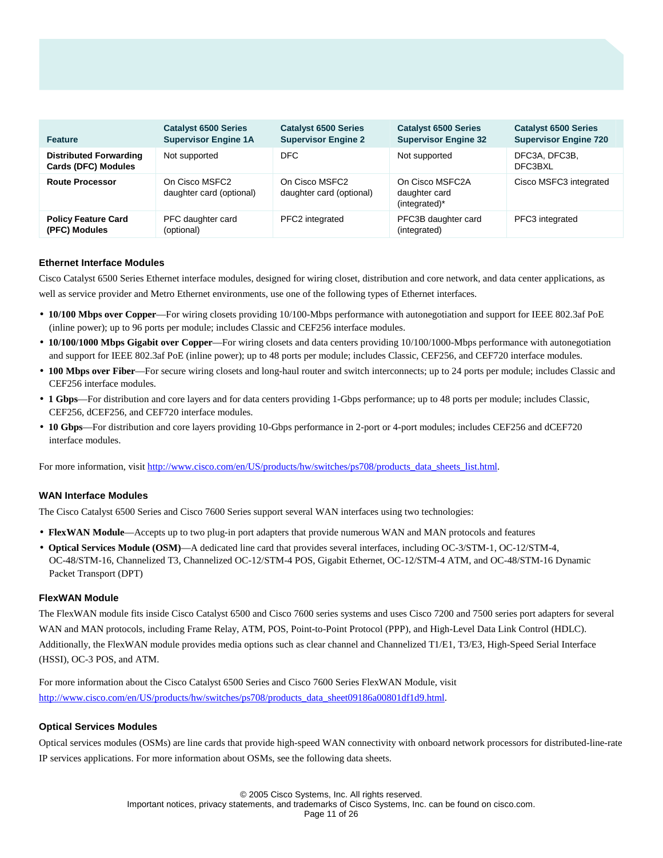| <b>Feature</b>                                              | <b>Catalyst 6500 Series</b><br><b>Supervisor Engine 1A</b> | <b>Catalyst 6500 Series</b><br><b>Supervisor Engine 2</b> | <b>Catalyst 6500 Series</b><br><b>Supervisor Engine 32</b> | <b>Catalyst 6500 Series</b><br><b>Supervisor Engine 720</b> |
|-------------------------------------------------------------|------------------------------------------------------------|-----------------------------------------------------------|------------------------------------------------------------|-------------------------------------------------------------|
| <b>Distributed Forwarding</b><br><b>Cards (DFC) Modules</b> | Not supported                                              | DFC.                                                      | Not supported                                              | DFC3A, DFC3B,<br>DFC3BXL                                    |
| <b>Route Processor</b>                                      | On Cisco MSFC2<br>daughter card (optional)                 | On Cisco MSFC2<br>daughter card (optional)                | On Cisco MSFC2A<br>daughter card<br>(integrated)*          | Cisco MSFC3 integrated                                      |
| <b>Policy Feature Card</b><br>(PFC) Modules                 | PFC daughter card<br>(optional)                            | PFC2 integrated                                           | PFC3B daughter card<br>(integrated)                        | PFC3 integrated                                             |

### **Ethernet Interface Modules**

Cisco Catalyst 6500 Series Ethernet interface modules, designed for wiring closet, distribution and core network, and data center applications, as well as service provider and Metro Ethernet environments, use one of the following types of Ethernet interfaces.

- **10/100 Mbps over Copper**—For wiring closets providing 10/100-Mbps performance with autonegotiation and support for IEEE 802.3af PoE (inline power); up to 96 ports per module; includes Classic and CEF256 interface modules.
- **10/100/1000 Mbps Gigabit over Copper**—For wiring closets and data centers providing 10/100/1000-Mbps performance with autonegotiation and support for IEEE 802.3af PoE (inline power); up to 48 ports per module; includes Classic, CEF256, and CEF720 interface modules.
- **100 Mbps over Fiber**—For secure wiring closets and long-haul router and switch interconnects; up to 24 ports per module; includes Classic and CEF256 interface modules.
- **1 Gbps**—For distribution and core layers and for data centers providing 1-Gbps performance; up to 48 ports per module; includes Classic, CEF256, dCEF256, and CEF720 interface modules.
- 10 Gbps—For distribution and core layers providing 10-Gbps performance in 2-port or 4-port modules; includes CEF256 and dCEF720 interface modules.

For more information, visit [http://www.cisco.com/en/US/products/hw/switches/ps708/products\\_data\\_sheets\\_list.html.](http://www.cisco.com/en/US/products/hw/switches/ps708/products_data_sheets_list.html)

#### **WAN Interface Modules**

The Cisco Catalyst 6500 Series and Cisco 7600 Series support several WAN interfaces using two technologies:

- **FlexWAN Module**—Accepts up to two plug-in port adapters that provide numerous WAN and MAN protocols and features
- **Optical Services Module (OSM)**—A dedicated line card that provides several interfaces, including OC-3/STM-1, OC-12/STM-4, OC-48/STM-16, Channelized T3, Channelized OC-12/STM-4 POS, Gigabit Ethernet, OC-12/STM-4 ATM, and OC-48/STM-16 Dynamic Packet Transport (DPT)

#### **FlexWAN Module**

The FlexWAN module fits inside Cisco Catalyst 6500 and Cisco 7600 series systems and uses Cisco 7200 and 7500 series port adapters for several WAN and MAN protocols, including Frame Relay, ATM, POS, Point-to-Point Protocol (PPP), and High-Level Data Link Control (HDLC). Additionally, the FlexWAN module provides media options such as clear channel and Channelized T1/E1, T3/E3, High-Speed Serial Interface (HSSI), OC-3 POS, and ATM.

For more information about the Cisco Catalyst 6500 Series and Cisco 7600 Series FlexWAN Module, visit [http://www.cisco.com/en/US/products/hw/switches/ps708/products\\_data\\_sheet09186a00801df1d9.html](http://www.cisco.com/en/US/products/hw/switches/ps708/products_data_sheet09186a00801df1d9.html).

### **Optical Services Modules**

Optical services modules (OSMs) are line cards that provide high-speed WAN connectivity with onboard network processors for distributed-line-rate IP services applications. For more information about OSMs, see the following data sheets.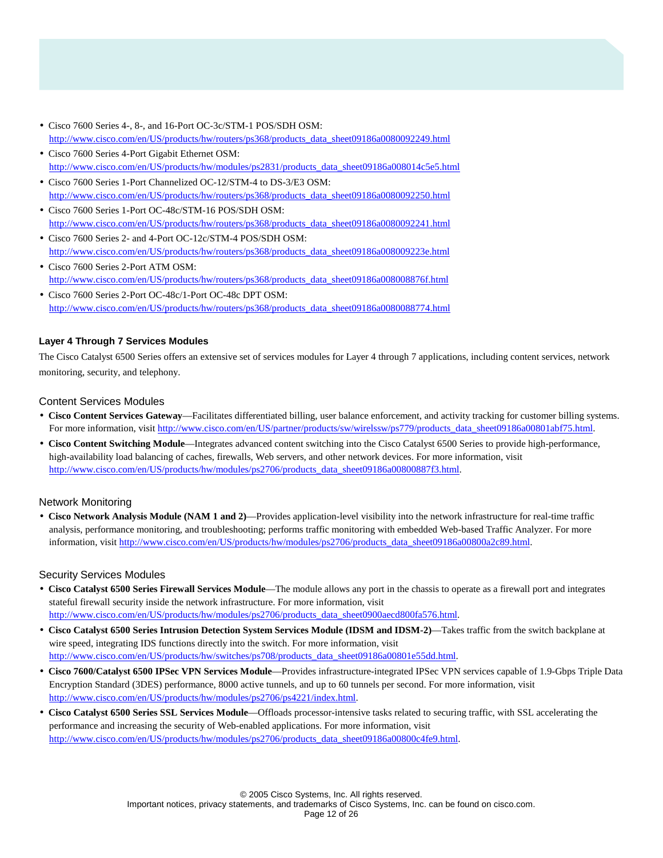- Cisco 7600 Series 4-, 8-, and 16-Port OC-3c/STM-1 POS/SDH OSM: [http://www.cisco.com/en/US/products/hw/routers/ps368/products\\_data\\_sheet09186a0080092249.html](http://www.cisco.com/en/US/products/hw/routers/ps368/products_data_sheet09186a0080092249.html)
- Cisco 7600 Series 4-Port Gigabit Ethernet OSM: [http://www.cisco.com/en/US/products/hw/modules/ps2831/products\\_data\\_sheet09186a008014c5e5.html](http://www.cisco.com/en/US/products/hw/modules/ps2831/products_data_sheet09186a008014c5e5.html)
- Cisco 7600 Series 1-Port Channelized OC-12/STM-4 to DS-3/E3 OSM: [http://www.cisco.com/en/US/products/hw/routers/ps368/products\\_data\\_sheet09186a0080092250.html](http://www.cisco.com/en/US/products/hw/routers/ps368/products_data_sheet09186a0080092250.html)
- Cisco 7600 Series 1-Port OC-48c/STM-16 POS/SDH OSM: [http://www.cisco.com/en/US/products/hw/routers/ps368/products\\_data\\_sheet09186a0080092241.html](http://www.cisco.com/en/US/products/hw/routers/ps368/products_data_sheet09186a0080092241.html)
- Cisco 7600 Series 2- and 4-Port OC-12c/STM-4 POS/SDH OSM: [http://www.cisco.com/en/US/products/hw/routers/ps368/products\\_data\\_sheet09186a008009223e.html](http://www.cisco.com/en/US/products/hw/routers/ps368/products_data_sheet09186a008009223e.html)
- Cisco 7600 Series 2-Port ATM OSM: [http://www.cisco.com/en/US/products/hw/routers/ps368/products\\_data\\_sheet09186a008008876f.html](http://www.cisco.com/en/US/products/hw/routers/ps368/products_data_sheet09186a008008876f.html)
- Cisco 7600 Series 2-Port OC-48c/1-Port OC-48c DPT OSM: [http://www.cisco.com/en/US/products/hw/routers/ps368/products\\_data\\_sheet09186a0080088774.html](http://www.cisco.com/en/US/products/hw/routers/ps368/products_data_sheet09186a0080088774.html)

### **Layer 4 Through 7 Services Modules**

The Cisco Catalyst 6500 Series offers an extensive set of services modules for Layer 4 through 7 applications, including content services, network monitoring, security, and telephony.

### Content Services Modules

- **Cisco Content Services Gateway**—Facilitates differentiated billing, user balance enforcement, and activity tracking for customer billing systems. For more information, visit [http://www.cisco.com/en/US/partner/products/sw/wirelssw/ps779/products\\_data\\_sheet09186a00801abf75.html](http://www.cisco.com/en/US/partner/products/sw/wirelssw/ps779/products_data_sheet09186a00801abf75.html).
- **Cisco Content Switching Module**—Integrates advanced content switching into the Cisco Catalyst 6500 Series to provide high-performance, high-availability load balancing of caches, firewalls, Web servers, and other network devices. For more information, visit [http://www.cisco.com/en/US/products/hw/modules/ps2706/products\\_data\\_sheet09186a00800887f3.html](http://www.cisco.com/en/US/products/hw/modules/ps2706/products_data_sheet09186a00800887f3.html).

### Network Monitoring

• **Cisco Network Analysis Module (NAM 1 and 2)**—Provides application-level visibility into the network infrastructure for real-time traffic analysis, performance monitoring, and troubleshooting; performs traffic monitoring with embedded Web-based Traffic Analyzer. For more information, visit [http://www.cisco.com/en/US/products/hw/modules/ps2706/products\\_data\\_sheet09186a00800a2c89.html](http://www.cisco.com/en/US/products/hw/modules/ps2706/products_data_sheet09186a00800a2c89.html).

### Security Services Modules

- **Cisco Catalyst 6500 Series Firewall Services Module**—The module allows any port in the chassis to operate as a firewall port and integrates stateful firewall security inside the network infrastructure. For more information, visit [http://www.cisco.com/en/US/products/hw/modules/ps2706/products\\_data\\_sheet0900aecd800fa576.html](http://www.cisco.com/en/US/products/hw/modules/ps2706/products_data_sheet0900aecd800fa576.html).
- **Cisco Catalyst 6500 Series Intrusion Detection System Services Module (IDSM and IDSM-2)**—Takes traffic from the switch backplane at wire speed, integrating IDS functions directly into the switch. For more information, visit [http://www.cisco.com/en/US/products/hw/switches/ps708/products\\_data\\_sheet09186a00801e55dd.html](http://www.cisco.com/en/US/products/hw/switches/ps708/products_data_sheet09186a00801e55dd.html).
- **Cisco 7600/Catalyst 6500 IPSec VPN Services Module**—Provides infrastructure-integrated IPSec VPN services capable of 1.9-Gbps Triple Data Encryption Standard (3DES) performance, 8000 active tunnels, and up to 60 tunnels per second. For more information, visit <http://www.cisco.com/en/US/products/hw/modules/ps2706/ps4221/index.html>.
- **Cisco Catalyst 6500 Series SSL Services Module**—Offloads processor-intensive tasks related to securing traffic, with SSL accelerating the performance and increasing the security of Web-enabled applications. For more information, visit [http://www.cisco.com/en/US/products/hw/modules/ps2706/products\\_data\\_sheet09186a00800c4fe9.html](http://www.cisco.com/en/US/products/hw/modules/ps2706/products_data_sheet09186a00800c4fe9.html).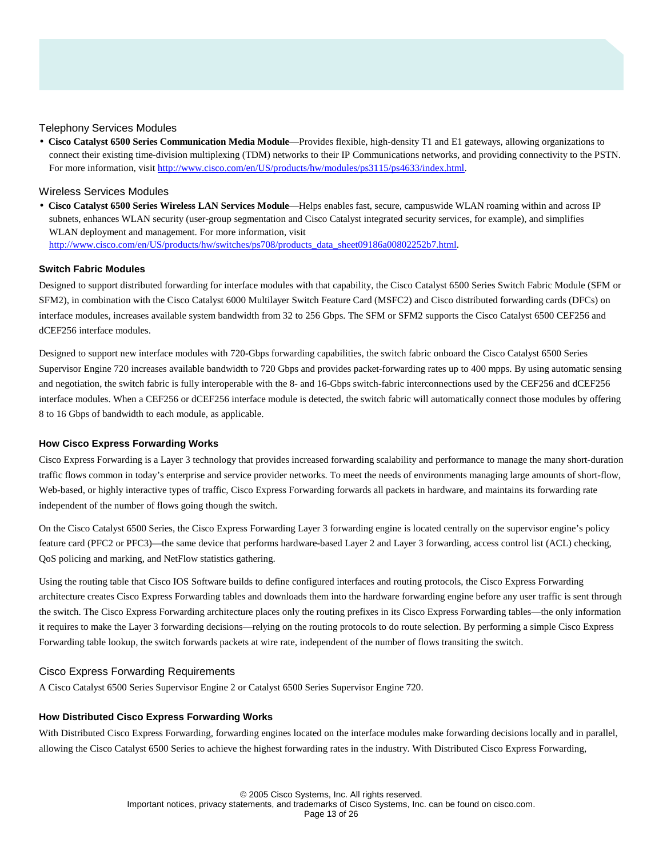### Telephony Services Modules

• **Cisco Catalyst 6500 Series Communication Media Module**—Provides flexible, high-density T1 and E1 gateways, allowing organizations to connect their existing time-division multiplexing (TDM) networks to their IP Communications networks, and providing connectivity to the PSTN. For more information, visit<http://www.cisco.com/en/US/products/hw/modules/ps3115/ps4633/index.html>.

### Wireless Services Modules

• **Cisco Catalyst 6500 Series Wireless LAN Services Module**—Helps enables fast, secure, campuswide WLAN roaming within and across IP subnets, enhances WLAN security (user-group segmentation and Cisco Catalyst integrated security services, for example), and simplifies WLAN deployment and management. For more information, visit [http://www.cisco.com/en/US/products/hw/switches/ps708/products\\_data\\_sheet09186a00802252b7.html](http://www.cisco.com/en/US/products/hw/switches/ps708/products_data_sheet09186a00802252b7.html).

#### **Switch Fabric Modules**

Designed to support distributed forwarding for interface modules with that capability, the Cisco Catalyst 6500 Series Switch Fabric Module (SFM or SFM2), in combination with the Cisco Catalyst 6000 Multilayer Switch Feature Card (MSFC2) and Cisco distributed forwarding cards (DFCs) on interface modules, increases available system bandwidth from 32 to 256 Gbps. The SFM or SFM2 supports the Cisco Catalyst 6500 CEF256 and dCEF256 interface modules.

Designed to support new interface modules with 720-Gbps forwarding capabilities, the switch fabric onboard the Cisco Catalyst 6500 Series Supervisor Engine 720 increases available bandwidth to 720 Gbps and provides packet-forwarding rates up to 400 mpps. By using automatic sensing and negotiation, the switch fabric is fully interoperable with the 8- and 16-Gbps switch-fabric interconnections used by the CEF256 and dCEF256 interface modules. When a CEF256 or dCEF256 interface module is detected, the switch fabric will automatically connect those modules by offering 8 to 16 Gbps of bandwidth to each module, as applicable.

#### **How Cisco Express Forwarding Works**

Cisco Express Forwarding is a Layer 3 technology that provides increased forwarding scalability and performance to manage the many short-duration traffic flows common in today's enterprise and service provider networks. To meet the needs of environments managing large amounts of short-flow, Web-based, or highly interactive types of traffic, Cisco Express Forwarding forwards all packets in hardware, and maintains its forwarding rate independent of the number of flows going though the switch.

On the Cisco Catalyst 6500 Series, the Cisco Express Forwarding Layer 3 forwarding engine is located centrally on the supervisor engine's policy feature card (PFC2 or PFC3)—the same device that performs hardware-based Layer 2 and Layer 3 forwarding, access control list (ACL) checking, QoS policing and marking, and NetFlow statistics gathering.

Using the routing table that Cisco IOS Software builds to define configured interfaces and routing protocols, the Cisco Express Forwarding architecture creates Cisco Express Forwarding tables and downloads them into the hardware forwarding engine before any user traffic is sent through the switch. The Cisco Express Forwarding architecture places only the routing prefixes in its Cisco Express Forwarding tables—the only information it requires to make the Layer 3 forwarding decisions—relying on the routing protocols to do route selection. By performing a simple Cisco Express Forwarding table lookup, the switch forwards packets at wire rate, independent of the number of flows transiting the switch.

#### Cisco Express Forwarding Requirements

A Cisco Catalyst 6500 Series Supervisor Engine 2 or Catalyst 6500 Series Supervisor Engine 720.

#### **How Distributed Cisco Express Forwarding Works**

With Distributed Cisco Express Forwarding, forwarding engines located on the interface modules make forwarding decisions locally and in parallel, allowing the Cisco Catalyst 6500 Series to achieve the highest forwarding rates in the industry. With Distributed Cisco Express Forwarding,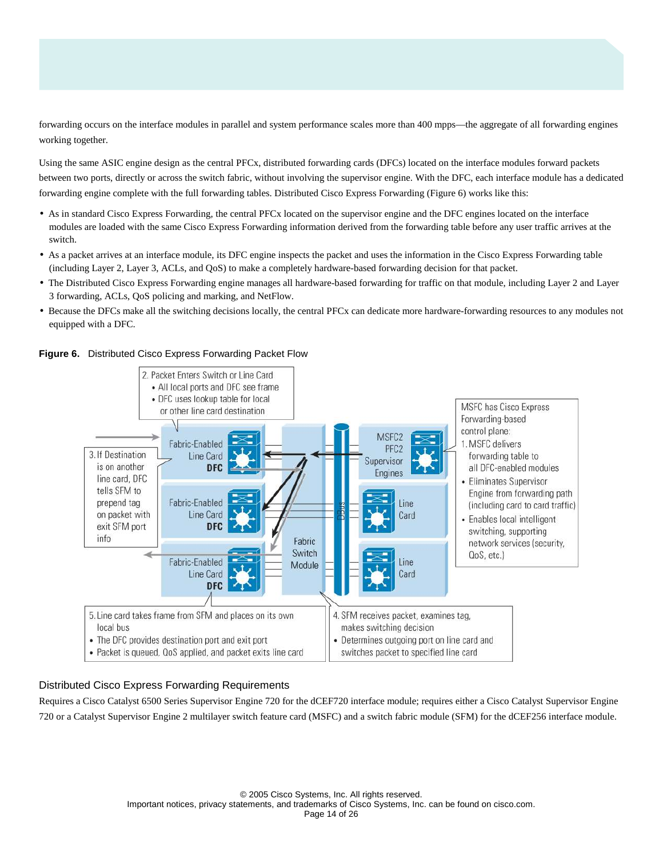forwarding occurs on the interface modules in parallel and system performance scales more than 400 mpps—the aggregate of all forwarding engines working together.

Using the same ASIC engine design as the central PFCx, distributed forwarding cards (DFCs) located on the interface modules forward packets between two ports, directly or across the switch fabric, without involving the supervisor engine. With the DFC, each interface module has a dedicated forwarding engine complete with the full forwarding tables. Distributed Cisco Express Forwarding (Figure 6) works like this:

- As in standard Cisco Express Forwarding, the central PFCx located on the supervisor engine and the DFC engines located on the interface modules are loaded with the same Cisco Express Forwarding information derived from the forwarding table before any user traffic arrives at the switch.
- As a packet arrives at an interface module, its DFC engine inspects the packet and uses the information in the Cisco Express Forwarding table (including Layer 2, Layer 3, ACLs, and QoS) to make a completely hardware-based forwarding decision for that packet.
- The Distributed Cisco Express Forwarding engine manages all hardware-based forwarding for traffic on that module, including Layer 2 and Layer 3 forwarding, ACLs, QoS policing and marking, and NetFlow.
- Because the DFCs make all the switching decisions locally, the central PFCx can dedicate more hardware-forwarding resources to any modules not equipped with a DFC.

2. Packet Enters Switch or Line Card • All local ports and DFC see frame • DFC uses lookup table for local **MSFC has Cisco Express** or other line card destination Forwarding-based control plane: MSFC<sub>2</sub> Fabric-Enabled 1. MSFC delivers PFC<sub>2</sub> 3. If Destination Line Card forwarding table to Supervisor is on another **DFC** all DFC-enabled modules Engines line card, DFC • Eliminates Supervisor tells SFM to Engine from forwarding path Fabric-Enabled prepend tag Line (including card to card traffic) Line Card on packet with Card • Enables local intelligent exit SFM port **DFC** switching, supporting info Fabric network services (security, Switch ے QoS, etc.) Fabric-Enabled Line Module Card Line Card **DFC** 5. Line card takes frame from SFM and places on its own 4. SFM receives packet, examines tag, local bus makes switching decision • The DFC provides destination port and exit port • Determines outgoing port on line card and • Packet is queued, QoS applied, and packet exits line card switches packet to specified line card

**Figure 6.** Distributed Cisco Express Forwarding Packet Flow

# Distributed Cisco Express Forwarding Requirements

Requires a Cisco Catalyst 6500 Series Supervisor Engine 720 for the dCEF720 interface module; requires either a Cisco Catalyst Supervisor Engine 720 or a Catalyst Supervisor Engine 2 multilayer switch feature card (MSFC) and a switch fabric module (SFM) for the dCEF256 interface module.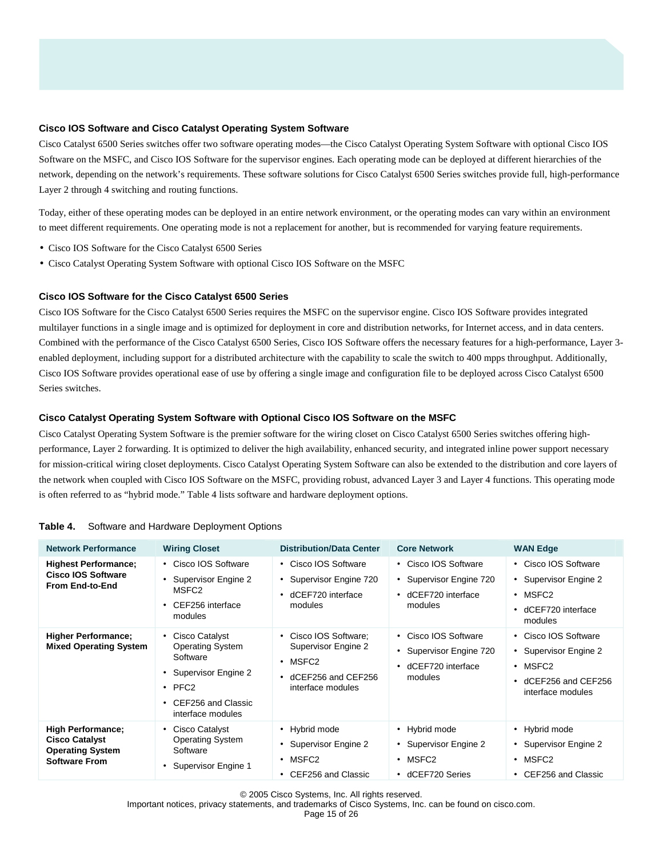#### **Cisco IOS Software and Cisco Catalyst Operating System Software**

Cisco Catalyst 6500 Series switches offer two software operating modes—the Cisco Catalyst Operating System Software with optional Cisco IOS Software on the MSFC, and Cisco IOS Software for the supervisor engines. Each operating mode can be deployed at different hierarchies of the network, depending on the network's requirements. These software solutions for Cisco Catalyst 6500 Series switches provide full, high-performance Layer 2 through 4 switching and routing functions.

Today, either of these operating modes can be deployed in an entire network environment, or the operating modes can vary within an environment to meet different requirements. One operating mode is not a replacement for another, but is recommended for varying feature requirements.

- Cisco IOS Software for the Cisco Catalyst 6500 Series
- Cisco Catalyst Operating System Software with optional Cisco IOS Software on the MSFC

### **Cisco IOS Software for the Cisco Catalyst 6500 Series**

Cisco IOS Software for the Cisco Catalyst 6500 Series requires the MSFC on the supervisor engine. Cisco IOS Software provides integrated multilayer functions in a single image and is optimized for deployment in core and distribution networks, for Internet access, and in data centers. Combined with the performance of the Cisco Catalyst 6500 Series, Cisco IOS Software offers the necessary features for a high-performance, Layer 3 enabled deployment, including support for a distributed architecture with the capability to scale the switch to 400 mpps throughput. Additionally, Cisco IOS Software provides operational ease of use by offering a single image and configuration file to be deployed across Cisco Catalyst 6500 Series switches.

### **Cisco Catalyst Operating System Software with Optional Cisco IOS Software on the MSFC**

Cisco Catalyst Operating System Software is the premier software for the wiring closet on Cisco Catalyst 6500 Series switches offering highperformance, Layer 2 forwarding. It is optimized to deliver the high availability, enhanced security, and integrated inline power support necessary for mission-critical wiring closet deployments. Cisco Catalyst Operating System Software can also be extended to the distribution and core layers of the network when coupled with Cisco IOS Software on the MSFC, providing robust, advanced Layer 3 and Layer 4 functions. This operating mode is often referred to as "hybrid mode." Table 4 lists software and hardware deployment options.

| <b>Network Performance</b>                                                                           | <b>Wiring Closet</b>                                                                                                                        | <b>Distribution/Data Center</b>                                                                | <b>Core Network</b>                                                                        | <b>WAN Edge</b>                                                                                                       |
|------------------------------------------------------------------------------------------------------|---------------------------------------------------------------------------------------------------------------------------------------------|------------------------------------------------------------------------------------------------|--------------------------------------------------------------------------------------------|-----------------------------------------------------------------------------------------------------------------------|
| <b>Highest Performance;</b><br><b>Cisco IOS Software</b><br><b>From End-to-End</b>                   | • Cisco IOS Software<br>Supervisor Engine 2<br>MSFC2<br>CEF256 interface<br>modules                                                         | • Cisco IOS Software<br>Supervisor Engine 720<br>dCEF720 interface<br>modules                  | • Cisco IOS Software<br>Supervisor Engine 720<br>dCEF720 interface<br>$\bullet$<br>modules | • Cisco IOS Software<br>• Supervisor Engine 2<br>$\cdot$ MSFC <sub>2</sub><br>dCEF720 interface<br>modules            |
| <b>Higher Performance;</b><br><b>Mixed Operating System</b>                                          | • Cisco Catalyst<br><b>Operating System</b><br>Software<br>• Supervisor Engine 2<br>$\cdot$ PFC2<br>CEF256 and Classic<br>interface modules | Cisco IOS Software:<br>Supervisor Engine 2<br>MSFC2<br>dCEF256 and CEF256<br>interface modules | Cisco IOS Software<br>$\bullet$<br>Supervisor Engine 720<br>dCEF720 interface<br>modules   | • Cisco IOS Software<br>• Supervisor Engine 2<br>$\cdot$ MSFC <sub>2</sub><br>dCEF256 and CEF256<br>interface modules |
| <b>High Performance;</b><br><b>Cisco Catalyst</b><br><b>Operating System</b><br><b>Software From</b> | • Cisco Catalyst<br><b>Operating System</b><br>Software<br>Supervisor Engine 1                                                              | • Hybrid mode<br>Supervisor Engine 2<br>$\cdot$ MSFC2<br>• CEF256 and Classic                  | • Hybrid mode<br>Supervisor Engine 2<br>MSFC2<br>٠<br>dCEF720 Series<br>٠                  | • Hybrid mode<br>• Supervisor Engine 2<br>$\cdot$ MSFC <sub>2</sub><br>• CEF256 and Classic                           |

#### **Table 4.** Software and Hardware Deployment Options

© 2005 Cisco Systems, Inc. All rights reserved.

Important notices, privacy statements, and trademarks of Cisco Systems, Inc. can be found on cisco.com.

Page 15 of 26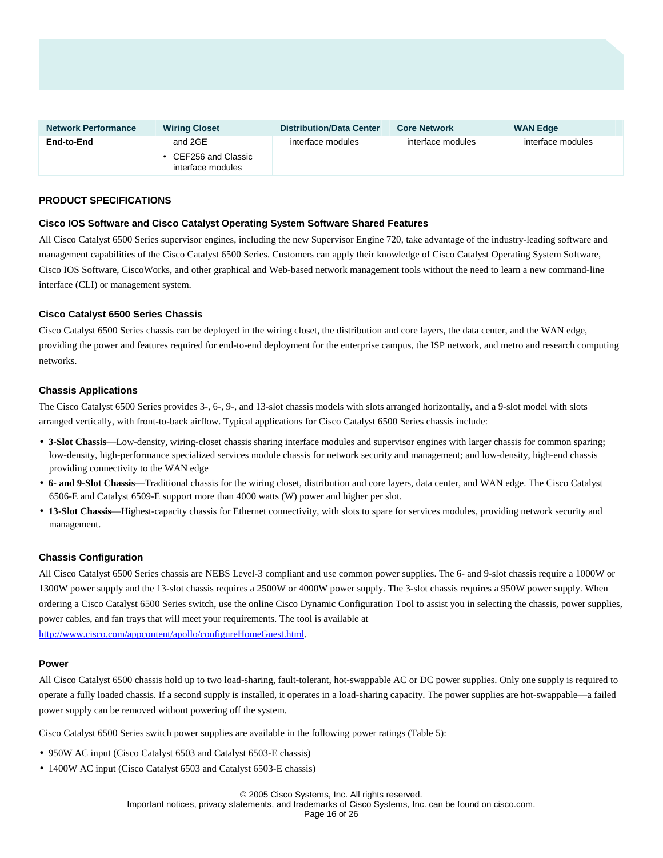| <b>Network Performance</b> | <b>Wiring Closet</b>                                 | <b>Distribution/Data Center</b> | <b>Core Network</b> | <b>WAN Edge</b>   |
|----------------------------|------------------------------------------------------|---------------------------------|---------------------|-------------------|
| End-to-End                 | and 2GE<br>• CEF256 and Classic<br>interface modules | interface modules               | interface modules   | interface modules |

### **PRODUCT SPECIFICATIONS**

### **Cisco IOS Software and Cisco Catalyst Operating System Software Shared Features**

All Cisco Catalyst 6500 Series supervisor engines, including the new Supervisor Engine 720, take advantage of the industry-leading software and management capabilities of the Cisco Catalyst 6500 Series. Customers can apply their knowledge of Cisco Catalyst Operating System Software, Cisco IOS Software, CiscoWorks, and other graphical and Web-based network management tools without the need to learn a new command-line interface (CLI) or management system.

### **Cisco Catalyst 6500 Series Chassis**

Cisco Catalyst 6500 Series chassis can be deployed in the wiring closet, the distribution and core layers, the data center, and the WAN edge, providing the power and features required for end-to-end deployment for the enterprise campus, the ISP network, and metro and research computing networks.

### **Chassis Applications**

The Cisco Catalyst 6500 Series provides 3-, 6-, 9-, and 13-slot chassis models with slots arranged horizontally, and a 9-slot model with slots arranged vertically, with front-to-back airflow. Typical applications for Cisco Catalyst 6500 Series chassis include:

- **3-Slot Chassis**—Low-density, wiring-closet chassis sharing interface modules and supervisor engines with larger chassis for common sparing; low-density, high-performance specialized services module chassis for network security and management; and low-density, high-end chassis providing connectivity to the WAN edge
- **6- and 9-Slot Chassis**—Traditional chassis for the wiring closet, distribution and core layers, data center, and WAN edge. The Cisco Catalyst 6506-E and Catalyst 6509-E support more than 4000 watts (W) power and higher per slot.
- **13-Slot Chassis**—Highest-capacity chassis for Ethernet connectivity, with slots to spare for services modules, providing network security and management.

#### **Chassis Configuration**

All Cisco Catalyst 6500 Series chassis are NEBS Level-3 compliant and use common power supplies. The 6- and 9-slot chassis require a 1000W or 1300W power supply and the 13-slot chassis requires a 2500W or 4000W power supply. The 3-slot chassis requires a 950W power supply. When ordering a Cisco Catalyst 6500 Series switch, use the online Cisco Dynamic Configuration Tool to assist you in selecting the chassis, power supplies, power cables, and fan trays that will meet your requirements. The tool is available at <http://www.cisco.com/appcontent/apollo/configureHomeGuest.html>.

### **Power**

All Cisco Catalyst 6500 chassis hold up to two load-sharing, fault-tolerant, hot-swappable AC or DC power supplies. Only one supply is required to operate a fully loaded chassis. If a second supply is installed, it operates in a load-sharing capacity. The power supplies are hot-swappable—a failed power supply can be removed without powering off the system.

Cisco Catalyst 6500 Series switch power supplies are available in the following power ratings (Table 5):

- 950W AC input (Cisco Catalyst 6503 and Catalyst 6503-E chassis)
- 1400W AC input (Cisco Catalyst 6503 and Catalyst 6503-E chassis)

© 2005 Cisco Systems, Inc. All rights reserved.

Important notices, privacy statements, and trademarks of Cisco Systems, Inc. can be found on cisco.com.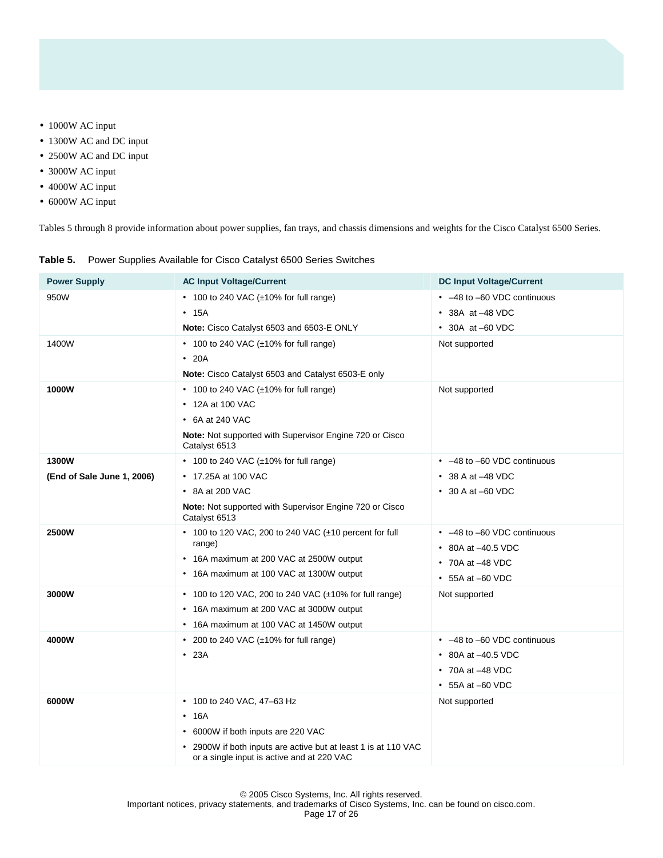- 1000W AC input
- 1300W AC and DC input
- 2500W AC and DC input
- 3000W AC input
- 4000W AC input
- 6000W AC input

Tables 5 through 8 provide information about power supplies, fan trays, and chassis dimensions and weights for the Cisco Catalyst 6500 Series.

|  |  |  |  | Table 5. Power Supplies Available for Cisco Catalyst 6500 Series Switches |
|--|--|--|--|---------------------------------------------------------------------------|
|--|--|--|--|---------------------------------------------------------------------------|

| <b>Power Supply</b>        | <b>AC Input Voltage/Current</b>                                                                              | <b>DC Input Voltage/Current</b> |
|----------------------------|--------------------------------------------------------------------------------------------------------------|---------------------------------|
| 950W                       | $\cdot$ 100 to 240 VAC ( $\pm$ 10% for full range)                                                           | • -48 to -60 VDC continuous     |
|                            | • 15A                                                                                                        | $\cdot$ 38A at -48 VDC          |
|                            | Note: Cisco Catalyst 6503 and 6503-E ONLY                                                                    | $\cdot$ 30A at -60 VDC          |
| 1400W                      | • 100 to 240 VAC (±10% for full range)                                                                       | Not supported                   |
|                            | $\cdot$ 20A                                                                                                  |                                 |
|                            | Note: Cisco Catalyst 6503 and Catalyst 6503-E only                                                           |                                 |
| 1000W                      | $\cdot$ 100 to 240 VAC ( $\pm$ 10% for full range)                                                           | Not supported                   |
|                            | • 12A at 100 VAC                                                                                             |                                 |
|                            | $\cdot$ 6A at 240 VAC                                                                                        |                                 |
|                            | Note: Not supported with Supervisor Engine 720 or Cisco<br>Catalyst 6513                                     |                                 |
| 1300W                      | • 100 to 240 VAC (±10% for full range)                                                                       | • -48 to -60 VDC continuous     |
| (End of Sale June 1, 2006) | • 17.25A at 100 VAC                                                                                          | $\cdot$ 38 A at $-48$ VDC       |
|                            | • 8A at 200 VAC                                                                                              | $\cdot$ 30 A at -60 VDC         |
|                            | Note: Not supported with Supervisor Engine 720 or Cisco<br>Catalyst 6513                                     |                                 |
| 2500W                      | • 100 to 120 VAC, 200 to 240 VAC $(\pm 10$ percent for full                                                  | • -48 to -60 VDC continuous     |
|                            | range)                                                                                                       | • 80A at $-40.5$ VDC            |
|                            | • 16A maximum at 200 VAC at 2500W output                                                                     | • 70A at -48 VDC                |
|                            | • 16A maximum at 100 VAC at 1300W output                                                                     | • 55A at -60 VDC                |
| 3000W                      | • 100 to 120 VAC, 200 to 240 VAC $(\pm 10\%$ for full range)                                                 | Not supported                   |
|                            | • 16A maximum at 200 VAC at 3000W output                                                                     |                                 |
|                            | • 16A maximum at 100 VAC at 1450W output                                                                     |                                 |
| 4000W                      | • 200 to 240 VAC (±10% for full range)                                                                       | • -48 to -60 VDC continuous     |
|                            | $\cdot$ 23A                                                                                                  | • 80A at -40.5 VDC              |
|                            |                                                                                                              | $\cdot$ 70A at $-48$ VDC        |
|                            |                                                                                                              | $\cdot$ 55A at -60 VDC          |
| 6000W                      | • 100 to 240 VAC, 47-63 Hz                                                                                   | Not supported                   |
|                            | $\cdot$ 16A                                                                                                  |                                 |
|                            | • 6000W if both inputs are 220 VAC                                                                           |                                 |
|                            | • 2900W if both inputs are active but at least 1 is at 110 VAC<br>or a single input is active and at 220 VAC |                                 |

© 2005 Cisco Systems, Inc. All rights reserved.

Important notices, privacy statements, and trademarks of Cisco Systems, Inc. can be found on cisco.com.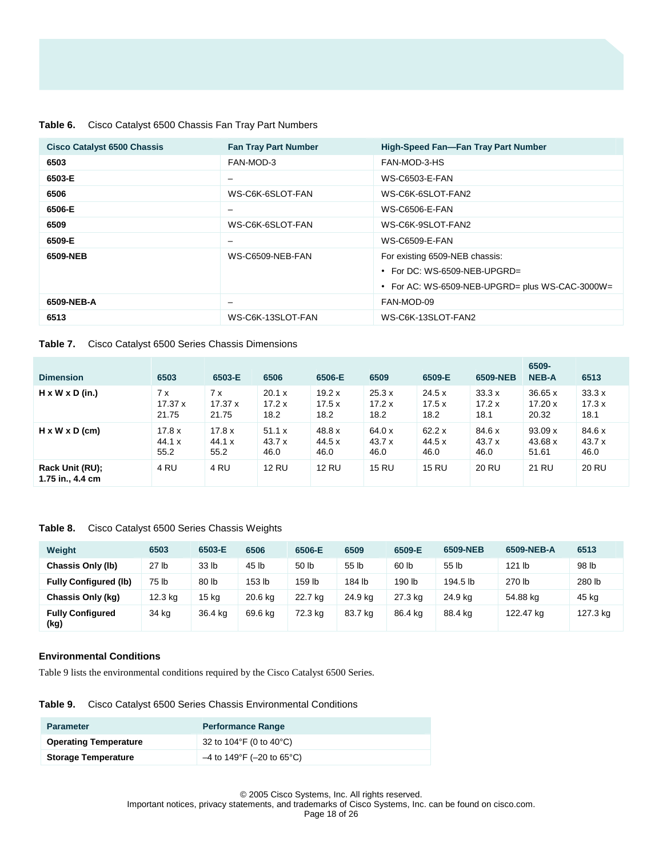### **Table 6.** Cisco Catalyst 6500 Chassis Fan Tray Part Numbers

| <b>Cisco Catalyst 6500 Chassis</b> | <b>Fan Tray Part Number</b> | <b>High-Speed Fan-Fan Tray Part Number</b>      |
|------------------------------------|-----------------------------|-------------------------------------------------|
| 6503                               | FAN-MOD-3                   | FAN-MOD-3-HS                                    |
| 6503-E                             | $\overline{\phantom{0}}$    | <b>WS-C6503-E-FAN</b>                           |
| 6506                               | WS-C6K-6SLOT-FAN            | WS-C6K-6SLOT-FAN2                               |
| 6506-E                             | -                           | <b>WS-C6506-E-FAN</b>                           |
| 6509                               | WS-C6K-6SLOT-FAN            | WS-C6K-9SLOT-FAN2                               |
| 6509-E                             | -                           | <b>WS-C6509-E-FAN</b>                           |
| 6509-NEB                           | WS-C6509-NEB-FAN            | For existing 6509-NEB chassis:                  |
|                                    |                             | • For DC: WS-6509-NEB-UPGRD=                    |
|                                    |                             | • For AC: WS-6509-NEB-UPGRD= plus WS-CAC-3000W= |
| 6509-NEB-A                         | -                           | FAN-MOD-09                                      |
| 6513                               | WS-C6K-13SLOT-FAN           | WS-C6K-13SLOT-FAN2                              |

### **Table 7.** Cisco Catalyst 6500 Series Chassis Dimensions

| <b>Dimension</b>                    | 6503     | 6503-E  | 6506         | 6506-E       | 6509         | 6509-E       | 6509-NEB     | 6509-<br><b>NEB-A</b> | 6513     |
|-------------------------------------|----------|---------|--------------|--------------|--------------|--------------|--------------|-----------------------|----------|
| $H \times W \times D$ (in.)         | 7x       | 7x      | 20.1 x       | 19.2 x       | 25.3 x       | 24.5 x       | 33.3x        | 36.65 x               | 33.3x    |
|                                     | 17.37 x  | 17.37 x | 17.2 x       | 17.5x        | 17.2x        | 17.5x        | 17.2x        | 17.20 x               | 17.3 x   |
|                                     | 21.75    | 21.75   | 18.2         | 18.2         | 18.2         | 18.2         | 18.1         | 20.32                 | 18.1     |
| $H \times W \times D$ (cm)          | 17.8x    | 17.8 x  | 51.1 x       | 48.8 x       | 64.0 x       | 62.2 x       | 84.6 x       | 93.09 x               | 84.6 x   |
|                                     | 44.1 $x$ | 44.1 x  | 43.7x        | 44.5 $x$     | 43.7 $x$     | 44.5 x       | 43.7 $x$     | 43.68 x               | 43.7 $x$ |
|                                     | 55.2     | 55.2    | 46.0         | 46.0         | 46.0         | 46.0         | 46.0         | 51.61                 | 46.0     |
| Rack Unit (RU);<br>1.75 in., 4.4 cm | 4 RU     | 4 RU    | <b>12 RU</b> | <b>12 RU</b> | <b>15 RU</b> | <b>15 RU</b> | <b>20 RU</b> | 21 RU                 | 20 RU    |

### **Table 8.** Cisco Catalyst 6500 Series Chassis Weights

| Weight                          | 6503             | 6503-E           | 6506    | 6506-E  | 6509    | 6509-E  | 6509-NEB         | 6509-NEB-A        | 6513     |
|---------------------------------|------------------|------------------|---------|---------|---------|---------|------------------|-------------------|----------|
| Chassis Only (lb)               | 27 <sub>lb</sub> | 33 <sub>lb</sub> | 45 lb   | 50 lb   | 55 lb   | 60 lb   | 55 <sub>1b</sub> | 121 <sub>lb</sub> | 98 lb    |
| <b>Fully Configured (Ib)</b>    | 75 lb            | 80 lb            | 153 lb  | 159 lb  | 184 lb  | 190 lb  | 194.5 lb         | 270 lb            | 280 lb   |
| Chassis Only (kg)               | 12.3 kg          | 15 kg            | 20.6 kg | 22.7 kg | 24.9 ka | 27.3 kg | 24.9 kg          | 54.88 kg          | 45 kg    |
| <b>Fully Configured</b><br>(kg) | 34 kg            | 36.4 kg          | 69.6 kg | 72.3 kg | 83.7 kg | 86.4 kg | 88.4 kg          | 122.47 kg         | 127.3 kg |

### **Environmental Conditions**

Table 9 lists the environmental conditions required by the Cisco Catalyst 6500 Series.

|  |  | Table 9. Cisco Catalyst 6500 Series Chassis Environmental Conditions |
|--|--|----------------------------------------------------------------------|
|--|--|----------------------------------------------------------------------|

| <b>Parameter</b>             | <b>Performance Range</b>                    |
|------------------------------|---------------------------------------------|
| <b>Operating Temperature</b> | 32 to $104^{\circ}$ F (0 to $40^{\circ}$ C) |
| <b>Storage Temperature</b>   | $-4$ to 149°F (-20 to 65°C)                 |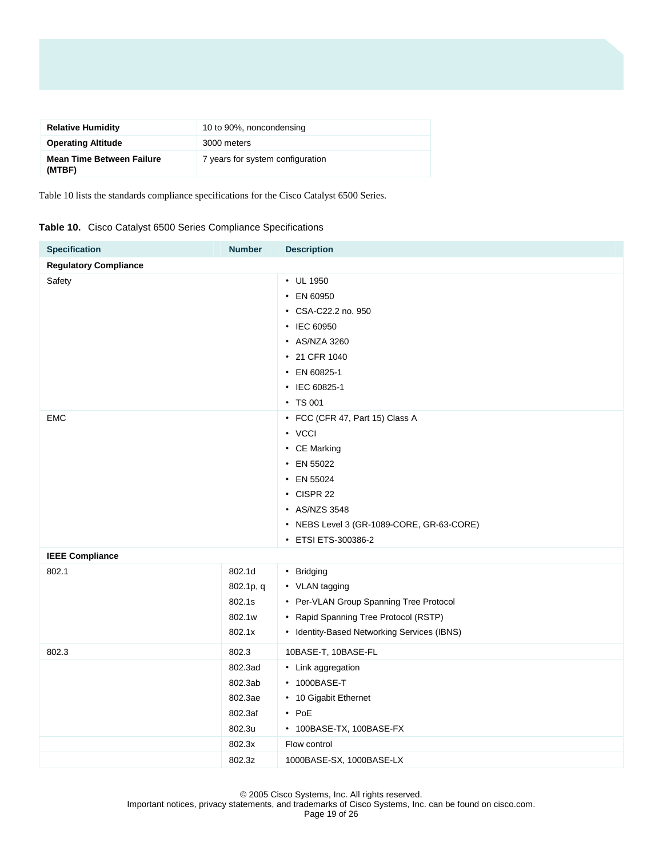| <b>Relative Humidity</b>                   | 10 to 90%, noncondensing         |
|--------------------------------------------|----------------------------------|
| <b>Operating Altitude</b>                  | 3000 meters                      |
| <b>Mean Time Between Failure</b><br>(MTBF) | 7 years for system configuration |

Table 10 lists the standards compliance specifications for the Cisco Catalyst 6500 Series.

|  | Table 10. Cisco Catalyst 6500 Series Compliance Specifications |  |
|--|----------------------------------------------------------------|--|
|  |                                                                |  |

| <b>Specification</b>         | <b>Number</b>                                                | <b>Description</b>                                                                                                                                                                       |
|------------------------------|--------------------------------------------------------------|------------------------------------------------------------------------------------------------------------------------------------------------------------------------------------------|
| <b>Regulatory Compliance</b> |                                                              |                                                                                                                                                                                          |
| Safety                       |                                                              | • UL 1950<br>• EN 60950<br>• CSA-C22.2 no. 950<br>• IEC 60950<br>• AS/NZA 3260<br>• 21 CFR 1040<br>• EN 60825-1<br>• IEC 60825-1<br>• TS 001                                             |
| EMC                          |                                                              | • FCC (CFR 47, Part 15) Class A<br>• VCCI<br>• CE Marking<br>• EN 55022<br>• EN 55024<br>• CISPR 22<br>• AS/NZS 3548<br>• NEBS Level 3 (GR-1089-CORE, GR-63-CORE)<br>• ETSI ETS-300386-2 |
| <b>IEEE Compliance</b>       |                                                              |                                                                                                                                                                                          |
| 802.1                        | 802.1d<br>802.1p, q<br>802.1s<br>802.1w<br>802.1x            | • Bridging<br>• VLAN tagging<br>• Per-VLAN Group Spanning Tree Protocol<br>• Rapid Spanning Tree Protocol (RSTP)<br>• Identity-Based Networking Services (IBNS)                          |
| 802.3                        | 802.3                                                        | 10BASE-T, 10BASE-FL                                                                                                                                                                      |
|                              | 802.3ad<br>802.3ab<br>802.3ae<br>802.3af<br>802.3u<br>802.3x | • Link aggregation<br>• 1000BASE-T<br>• 10 Gigabit Ethernet<br>$\cdot$ PoE<br>• 100BASE-TX, 100BASE-FX<br>Flow control                                                                   |
|                              | 802.3z                                                       | 1000BASE-SX, 1000BASE-LX                                                                                                                                                                 |

© 2005 Cisco Systems, Inc. All rights reserved.

Important notices, privacy statements, and trademarks of Cisco Systems, Inc. can be found on cisco.com.

Page 19 of 26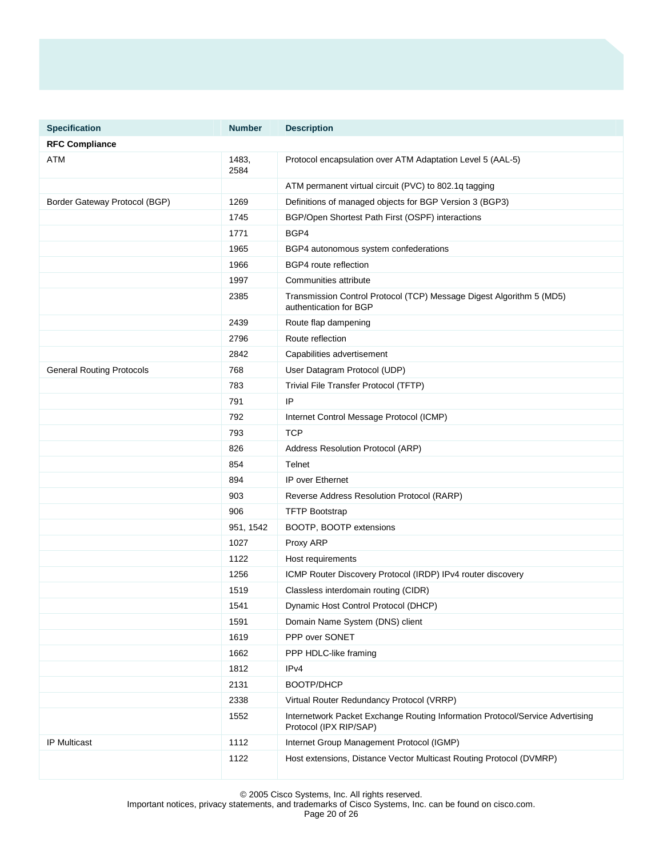| <b>Specification</b>             | <b>Number</b> | <b>Description</b>                                                                                      |
|----------------------------------|---------------|---------------------------------------------------------------------------------------------------------|
| <b>RFC Compliance</b>            |               |                                                                                                         |
| ATM                              | 1483,<br>2584 | Protocol encapsulation over ATM Adaptation Level 5 (AAL-5)                                              |
|                                  |               | ATM permanent virtual circuit (PVC) to 802.1q tagging                                                   |
| Border Gateway Protocol (BGP)    | 1269          | Definitions of managed objects for BGP Version 3 (BGP3)                                                 |
|                                  | 1745          | BGP/Open Shortest Path First (OSPF) interactions                                                        |
|                                  | 1771          | BGP4                                                                                                    |
|                                  | 1965          | BGP4 autonomous system confederations                                                                   |
|                                  | 1966          | BGP4 route reflection                                                                                   |
|                                  | 1997          | Communities attribute                                                                                   |
|                                  | 2385          | Transmission Control Protocol (TCP) Message Digest Algorithm 5 (MD5)<br>authentication for BGP          |
|                                  | 2439          | Route flap dampening                                                                                    |
|                                  | 2796          | Route reflection                                                                                        |
|                                  | 2842          | Capabilities advertisement                                                                              |
| <b>General Routing Protocols</b> | 768           | User Datagram Protocol (UDP)                                                                            |
|                                  | 783           | Trivial File Transfer Protocol (TFTP)                                                                   |
|                                  | 791           | IP                                                                                                      |
|                                  | 792           | Internet Control Message Protocol (ICMP)                                                                |
|                                  | 793           | <b>TCP</b>                                                                                              |
|                                  | 826           | Address Resolution Protocol (ARP)                                                                       |
|                                  | 854           | Telnet                                                                                                  |
|                                  | 894           | <b>IP over Ethernet</b>                                                                                 |
|                                  | 903           | Reverse Address Resolution Protocol (RARP)                                                              |
|                                  | 906           | <b>TFTP Bootstrap</b>                                                                                   |
|                                  | 951, 1542     | BOOTP, BOOTP extensions                                                                                 |
|                                  | 1027          | Proxy ARP                                                                                               |
|                                  | 1122          | Host requirements                                                                                       |
|                                  | 1256          | ICMP Router Discovery Protocol (IRDP) IPv4 router discovery                                             |
|                                  | 1519          | Classless interdomain routing (CIDR)                                                                    |
|                                  | 1541          | Dynamic Host Control Protocol (DHCP)                                                                    |
|                                  | 1591          | Domain Name System (DNS) client                                                                         |
|                                  | 1619          | PPP over SONET                                                                                          |
|                                  | 1662          | PPP HDLC-like framing                                                                                   |
|                                  | 1812          | IPv4                                                                                                    |
|                                  | 2131          | BOOTP/DHCP                                                                                              |
|                                  | 2338          | Virtual Router Redundancy Protocol (VRRP)                                                               |
|                                  | 1552          | Internetwork Packet Exchange Routing Information Protocol/Service Advertising<br>Protocol (IPX RIP/SAP) |
| IP Multicast                     | 1112          | Internet Group Management Protocol (IGMP)                                                               |
|                                  | 1122          | Host extensions, Distance Vector Multicast Routing Protocol (DVMRP)                                     |

© 2005 Cisco Systems, Inc. All rights reserved.

Important notices, privacy statements, and trademarks of Cisco Systems, Inc. can be found on cisco.com.

Page 20 of 26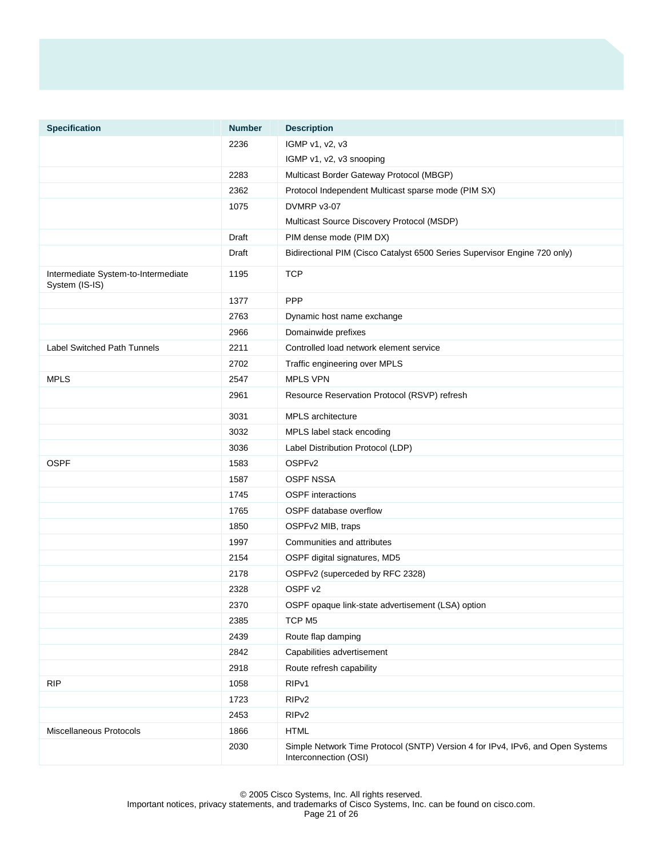| <b>Specification</b>                                  | <b>Number</b> | <b>Description</b>                                                                                      |
|-------------------------------------------------------|---------------|---------------------------------------------------------------------------------------------------------|
|                                                       | 2236          | IGMP v1, v2, v3                                                                                         |
|                                                       |               | IGMP v1, v2, v3 snooping                                                                                |
|                                                       | 2283          | Multicast Border Gateway Protocol (MBGP)                                                                |
|                                                       | 2362          | Protocol Independent Multicast sparse mode (PIM SX)                                                     |
|                                                       | 1075          | DVMRP v3-07                                                                                             |
|                                                       |               | Multicast Source Discovery Protocol (MSDP)                                                              |
|                                                       | Draft         | PIM dense mode (PIM DX)                                                                                 |
|                                                       | Draft         | Bidirectional PIM (Cisco Catalyst 6500 Series Supervisor Engine 720 only)                               |
| Intermediate System-to-Intermediate<br>System (IS-IS) | 1195          | <b>TCP</b>                                                                                              |
|                                                       | 1377          | <b>PPP</b>                                                                                              |
|                                                       | 2763          | Dynamic host name exchange                                                                              |
|                                                       | 2966          | Domainwide prefixes                                                                                     |
| <b>Label Switched Path Tunnels</b>                    | 2211          | Controlled load network element service                                                                 |
|                                                       | 2702          | Traffic engineering over MPLS                                                                           |
| <b>MPLS</b>                                           | 2547          | <b>MPLS VPN</b>                                                                                         |
|                                                       | 2961          | Resource Reservation Protocol (RSVP) refresh                                                            |
|                                                       | 3031          | MPLS architecture                                                                                       |
|                                                       | 3032          | MPLS label stack encoding                                                                               |
|                                                       | 3036          | Label Distribution Protocol (LDP)                                                                       |
| <b>OSPF</b>                                           | 1583          | OSPF <sub>v2</sub>                                                                                      |
|                                                       | 1587          | <b>OSPF NSSA</b>                                                                                        |
|                                                       | 1745          | <b>OSPF</b> interactions                                                                                |
|                                                       | 1765          | OSPF database overflow                                                                                  |
|                                                       | 1850          | OSPFv2 MIB, traps                                                                                       |
|                                                       | 1997          | Communities and attributes                                                                              |
|                                                       | 2154          | OSPF digital signatures, MD5                                                                            |
|                                                       | 2178          | OSPFv2 (superceded by RFC 2328)                                                                         |
|                                                       | 2328          | OSPF v2                                                                                                 |
|                                                       | 2370          | OSPF opaque link-state advertisement (LSA) option                                                       |
|                                                       | 2385          | TCP M <sub>5</sub>                                                                                      |
|                                                       | 2439          | Route flap damping                                                                                      |
|                                                       | 2842          | Capabilities advertisement                                                                              |
|                                                       | 2918          | Route refresh capability                                                                                |
| <b>RIP</b>                                            | 1058          | RIP <sub>v1</sub>                                                                                       |
|                                                       | 1723          | RIP <sub>v2</sub>                                                                                       |
|                                                       | 2453          | RIP <sub>v2</sub>                                                                                       |
| Miscellaneous Protocols                               | 1866          | <b>HTML</b>                                                                                             |
|                                                       | 2030          | Simple Network Time Protocol (SNTP) Version 4 for IPv4, IPv6, and Open Systems<br>Interconnection (OSI) |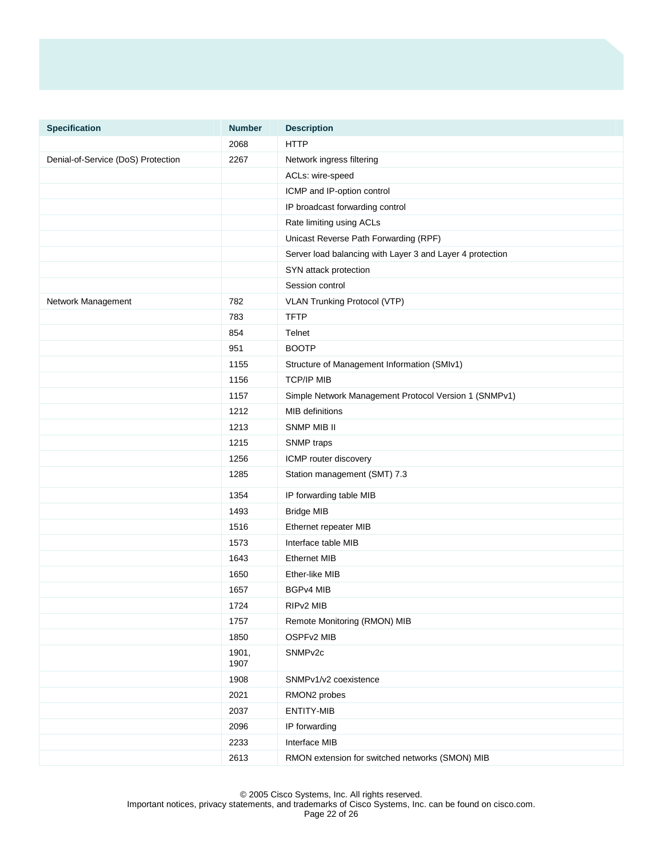| <b>Specification</b>               | <b>Number</b> | <b>Description</b>                                        |
|------------------------------------|---------------|-----------------------------------------------------------|
|                                    | 2068          | <b>HTTP</b>                                               |
| Denial-of-Service (DoS) Protection | 2267          | Network ingress filtering                                 |
|                                    |               | ACLs: wire-speed                                          |
|                                    |               | ICMP and IP-option control                                |
|                                    |               | IP broadcast forwarding control                           |
|                                    |               | Rate limiting using ACLs                                  |
|                                    |               | Unicast Reverse Path Forwarding (RPF)                     |
|                                    |               | Server load balancing with Layer 3 and Layer 4 protection |
|                                    |               | SYN attack protection                                     |
|                                    |               | Session control                                           |
| Network Management                 | 782           | VLAN Trunking Protocol (VTP)                              |
|                                    | 783           | <b>TFTP</b>                                               |
|                                    | 854           | Telnet                                                    |
|                                    | 951           | <b>BOOTP</b>                                              |
|                                    | 1155          | Structure of Management Information (SMIv1)               |
|                                    | 1156          | <b>TCP/IP MIB</b>                                         |
|                                    | 1157          | Simple Network Management Protocol Version 1 (SNMPv1)     |
|                                    | 1212          | <b>MIB</b> definitions                                    |
|                                    | 1213          | <b>SNMP MIB II</b>                                        |
|                                    | 1215          | SNMP traps                                                |
|                                    | 1256          | ICMP router discovery                                     |
|                                    | 1285          | Station management (SMT) 7.3                              |
|                                    | 1354          | IP forwarding table MIB                                   |
|                                    | 1493          | <b>Bridge MIB</b>                                         |
|                                    | 1516          | Ethernet repeater MIB                                     |
|                                    | 1573          | Interface table MIB                                       |
|                                    | 1643          | <b>Ethernet MIB</b>                                       |
|                                    | 1650          | Ether-like MIB                                            |
|                                    | 1657          | <b>BGPv4 MIB</b>                                          |
|                                    | 1724          | RIP <sub>v2</sub> MIB                                     |
|                                    | 1757          | Remote Monitoring (RMON) MIB                              |
|                                    | 1850          | OSPFv2 MIB                                                |
|                                    | 1901,<br>1907 | SNMP <sub>v2c</sub>                                       |
|                                    | 1908          | SNMPv1/v2 coexistence                                     |
|                                    | 2021          | RMON2 probes                                              |
|                                    | 2037          | ENTITY-MIB                                                |
|                                    | 2096          | IP forwarding                                             |
|                                    | 2233          | Interface MIB                                             |
|                                    | 2613          | RMON extension for switched networks (SMON) MIB           |

© 2005 Cisco Systems, Inc. All rights reserved. Important notices, privacy statements, and trademarks of Cisco Systems, Inc. can be found on cisco.com. Page 22 of 26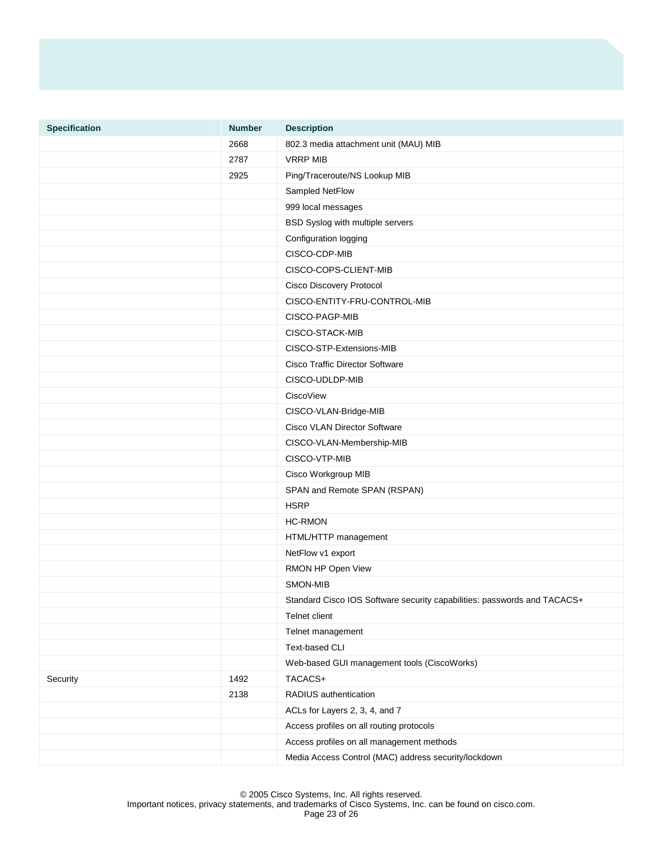| <b>Specification</b> | <b>Number</b> | <b>Description</b>                                                       |
|----------------------|---------------|--------------------------------------------------------------------------|
|                      | 2668          | 802.3 media attachment unit (MAU) MIB                                    |
|                      | 2787          | <b>VRRP MIB</b>                                                          |
|                      | 2925          | Ping/Traceroute/NS Lookup MIB                                            |
|                      |               | Sampled NetFlow                                                          |
|                      |               | 999 local messages                                                       |
|                      |               | BSD Syslog with multiple servers                                         |
|                      |               | Configuration logging                                                    |
|                      |               | CISCO-CDP-MIB                                                            |
|                      |               | CISCO-COPS-CLIENT-MIB                                                    |
|                      |               | Cisco Discovery Protocol                                                 |
|                      |               | CISCO-ENTITY-FRU-CONTROL-MIB                                             |
|                      |               | CISCO-PAGP-MIB                                                           |
|                      |               | CISCO-STACK-MIB                                                          |
|                      |               | CISCO-STP-Extensions-MIB                                                 |
|                      |               | <b>Cisco Traffic Director Software</b>                                   |
|                      |               | CISCO-UDLDP-MIB                                                          |
|                      |               | CiscoView                                                                |
|                      |               | CISCO-VLAN-Bridge-MIB                                                    |
|                      |               | Cisco VLAN Director Software                                             |
|                      |               | CISCO-VLAN-Membership-MIB                                                |
|                      |               | CISCO-VTP-MIB                                                            |
|                      |               | Cisco Workgroup MIB                                                      |
|                      |               | SPAN and Remote SPAN (RSPAN)                                             |
|                      |               | <b>HSRP</b>                                                              |
|                      |               | <b>HC-RMON</b>                                                           |
|                      |               | HTML/HTTP management                                                     |
|                      |               | NetFlow v1 export                                                        |
|                      |               | RMON HP Open View                                                        |
|                      |               | SMON-MIB                                                                 |
|                      |               | Standard Cisco IOS Software security capabilities: passwords and TACACS+ |
|                      |               | Telnet client                                                            |
|                      |               | Telnet management                                                        |
|                      |               | Text-based CLI                                                           |
|                      |               | Web-based GUI management tools (CiscoWorks)                              |
| Security             | 1492          | TACACS+                                                                  |
|                      | 2138          | RADIUS authentication                                                    |
|                      |               | ACLs for Layers 2, 3, 4, and 7                                           |
|                      |               | Access profiles on all routing protocols                                 |
|                      |               | Access profiles on all management methods                                |
|                      |               | Media Access Control (MAC) address security/lockdown                     |

© 2005 Cisco Systems, Inc. All rights reserved.

Important notices, privacy statements, and trademarks of Cisco Systems, Inc. can be found on cisco.com.

Page 23 of 26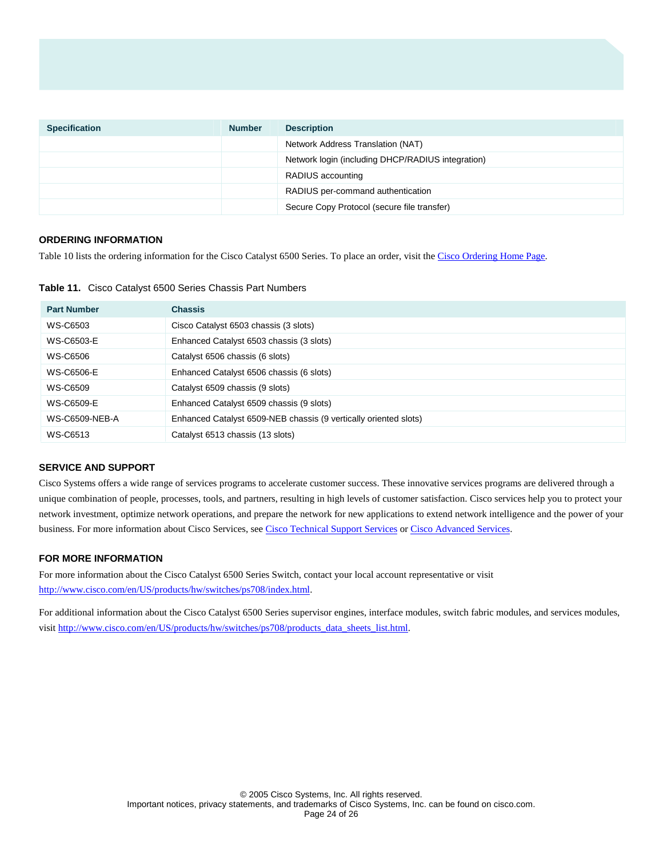| <b>Specification</b> | <b>Number</b> | <b>Description</b>                                |
|----------------------|---------------|---------------------------------------------------|
|                      |               | Network Address Translation (NAT)                 |
|                      |               | Network login (including DHCP/RADIUS integration) |
|                      |               | RADIUS accounting                                 |
|                      |               | RADIUS per-command authentication                 |
|                      |               | Secure Copy Protocol (secure file transfer)       |

### **ORDERING INFORMATION**

Table 10 lists the ordering information for the Cisco Catalyst 6500 Series. To place an order, visit the [Cisco Ordering Home Page](http://www.cisco.com/en/US/ordering/or13/or8/order_customer_help_how_to_order_listing.html).

**Table 11.** Cisco Catalyst 6500 Series Chassis Part Numbers

| <b>Part Number</b> | <b>Chassis</b>                                                   |
|--------------------|------------------------------------------------------------------|
| WS-C6503           | Cisco Catalyst 6503 chassis (3 slots)                            |
| WS-C6503-E         | Enhanced Catalyst 6503 chassis (3 slots)                         |
| WS-C6506           | Catalyst 6506 chassis (6 slots)                                  |
| <b>WS-C6506-E</b>  | Enhanced Catalyst 6506 chassis (6 slots)                         |
| WS-C6509           | Catalyst 6509 chassis (9 slots)                                  |
| WS-C6509-E         | Enhanced Catalyst 6509 chassis (9 slots)                         |
| WS-C6509-NEB-A     | Enhanced Catalyst 6509-NEB chassis (9 vertically oriented slots) |
| WS-C6513           | Catalyst 6513 chassis (13 slots)                                 |

### **SERVICE AND SUPPORT**

Cisco Systems offers a wide range of services programs to accelerate customer success. These innovative services programs are delivered through a unique combination of people, processes, tools, and partners, resulting in high levels of customer satisfaction. Cisco services help you to protect your network investment, optimize network operations, and prepare the network for new applications to extend network intelligence and the power of your business. For more information about Cisco Services, see [Cisco Technical Support Services](http://www.cisco.com/en/US/products/svcs/ps3034/serv_category_home.html) or [Cisco Advanced Services](http://www.cisco.com/en/US/products/svcs/ps11/services_segment_category_home.html).

### **FOR MORE INFORMATION**

For more information about the Cisco Catalyst 6500 Series Switch, contact your local account representative or visit <http://www.cisco.com/en/US/products/hw/switches/ps708/index.html>.

For additional information about the Cisco Catalyst 6500 Series supervisor engines, interface modules, switch fabric modules, and services modules, visit [http://www.cisco.com/en/US/products/hw/switches/ps708/products\\_data\\_sheets\\_list.html.](http://www.cisco.com/en/US/products/hw/switches/ps708/products_data_sheets_list.html)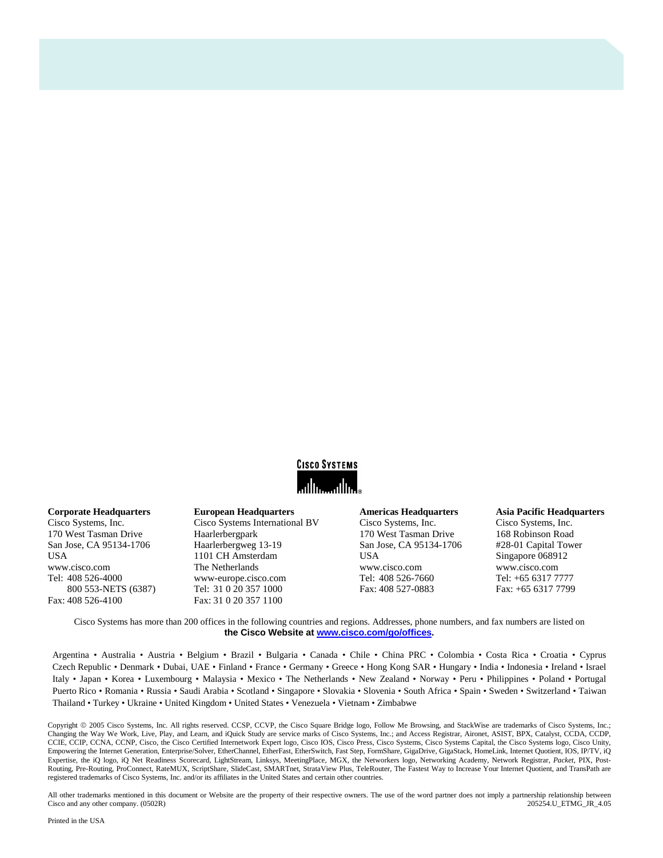

### **Corporate Headquarters**

Cisco Systems, Inc. 170 West Tasman Drive San Jose, CA 95134-1706 USA www.cisco.com Tel: 408 526-4000 800 553-NETS (6387) Fax: 408 526-4100

**European Headquarters**  Cisco Systems International BV Haarlerbergpark Haarlerbergweg 13-19 1101 CH Amsterdam The Netherlands www-europe.cisco.com Tel: 31 0 20 357 1000 Fax: 31 0 20 357 1100

#### **Americas Headquarters**

Cisco Systems, Inc. 170 West Tasman Drive San Jose, CA 95134-1706 USA www.cisco.com Tel: 408 526-7660 Fax: 408 527-0883

### **Asia Pacific Headquarters**

Cisco Systems, Inc. 168 Robinson Road #28-01 Capital Tower Singapore 068912 www.cisco.com Tel: +65 6317 7777 Fax: +65 6317 7799

Cisco Systems has more than 200 offices in the following countries and regions. Addresses, phone numbers, and fax numbers are listed on **the Cisco Website at [www.cisco.com/go/offices.](http://www.cisco.com/go/offices)** 

Argentina • Australia • Austria • Belgium • Brazil • Bulgaria • Canada • Chile • China PRC • Colombia • Costa Rica • Croatia • Cyprus Czech Republic • Denmark • Dubai, UAE • Finland • France • Germany • Greece • Hong Kong SAR • Hungary • India • Indonesia • Ireland • Israel Italy • Japan • Korea • Luxembourg • Malaysia • Mexico • The Netherlands • New Zealand • Norway • Peru • Philippines • Poland • Portugal Puerto Rico • Romania • Russia • Saudi Arabia • Scotland • Singapore • Slovakia • Slovenia • South Africa • Spain • Sweden • Switzerland • Taiwan Thailand • Turkey • Ukraine • United Kingdom • United States • Venezuela • Vietnam • Zimbabwe

Copyright 2005 Cisco Systems, Inc. All rights reserved. CCSP, CCVP, the Cisco Square Bridge logo, Follow Me Browsing, and StackWise are trademarks of Cisco Systems, Inc.; Changing the Way We Work, Live, Play, and Learn, and iQuick Study are service marks of Cisco Systems, Inc.; and Access Registrar, Aironet, ASIST, BPX, Catalyst, CCDA, CCDP, CCIE, CCIP, CCNA, CCNP, Cisco, the Cisco Certified Internetwork Expert logo, Cisco IOS, Cisco Press, Cisco Systems, Cisco Systems Capital, the Cisco Systems logo, Cisco Unity, Empowering the Internet Generation, Enterprise/Solver, EtherChannel, EtherFast, EtherSwitch, Fast Step, FormShare, GigaDrive, GigaStack, HomeLink, Internet Quotient, IOS, IP/TV, iQ Expertise, the iQ logo, iQ Net Readiness Scorecard, LightStream, Linksys, MeetingPlace, MGX, the Networkers logo, Networking Academy, Network Registrar, *Packet*, PIX, Post-Routing, Pre-Routing, ProConnect, RateMUX, ScriptShare, SlideCast, SMARTnet, StrataView Plus, TeleRouter, The Fastest Way to Increase Your Internet Quotient, and TransPath are registered trademarks of Cisco Systems, Inc. and/or its affiliates in the United States and certain other countries.

All other trademarks mentioned in this document or Website are the property of their respective owners. The use of the word partner does not imply a partnership relationship between  $\text{any. (0502R)}$  205 Cisco and any other company. (0502R) 205254.U\_ETMG\_JR\_4.05